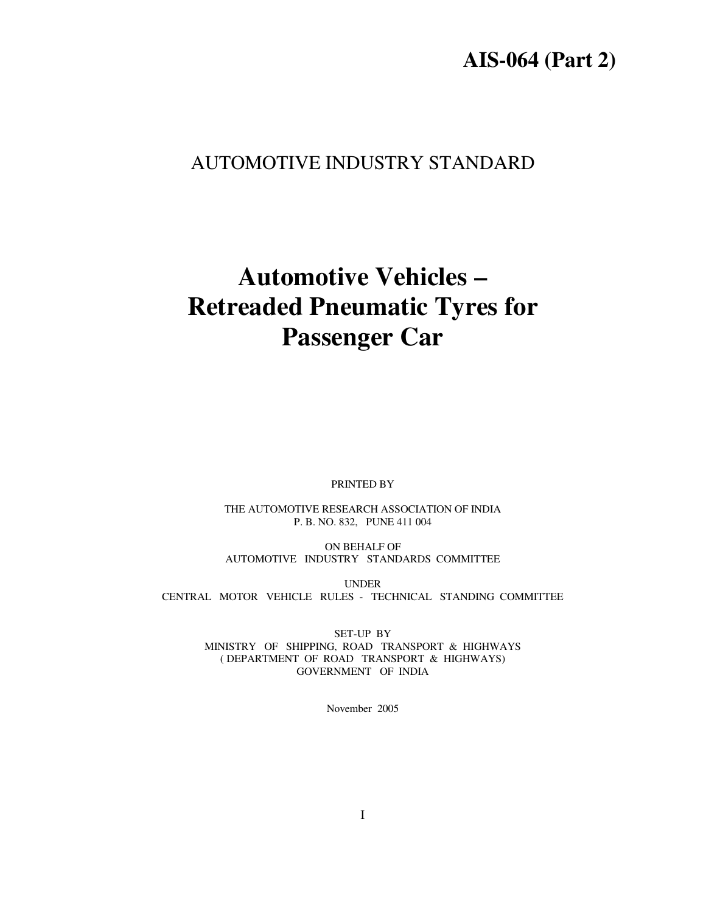## **AIS-064 (Part 2)**

## AUTOMOTIVE INDUSTRY STANDARD

# **Automotive Vehicles – Retreaded Pneumatic Tyres for Passenger Car**

PRINTED BY

THE AUTOMOTIVE RESEARCH ASSOCIATION OF INDIA P. B. NO. 832, PUNE 411 004

ON BEHALF OF AUTOMOTIVE INDUSTRY STANDARDS COMMITTEE

UNDER CENTRAL MOTOR VEHICLE RULES - TECHNICAL STANDING COMMITTEE

> SET-UP BY MINISTRY OF SHIPPING, ROAD TRANSPORT & HIGHWAYS ( DEPARTMENT OF ROAD TRANSPORT & HIGHWAYS) GOVERNMENT OF INDIA

> > November 2005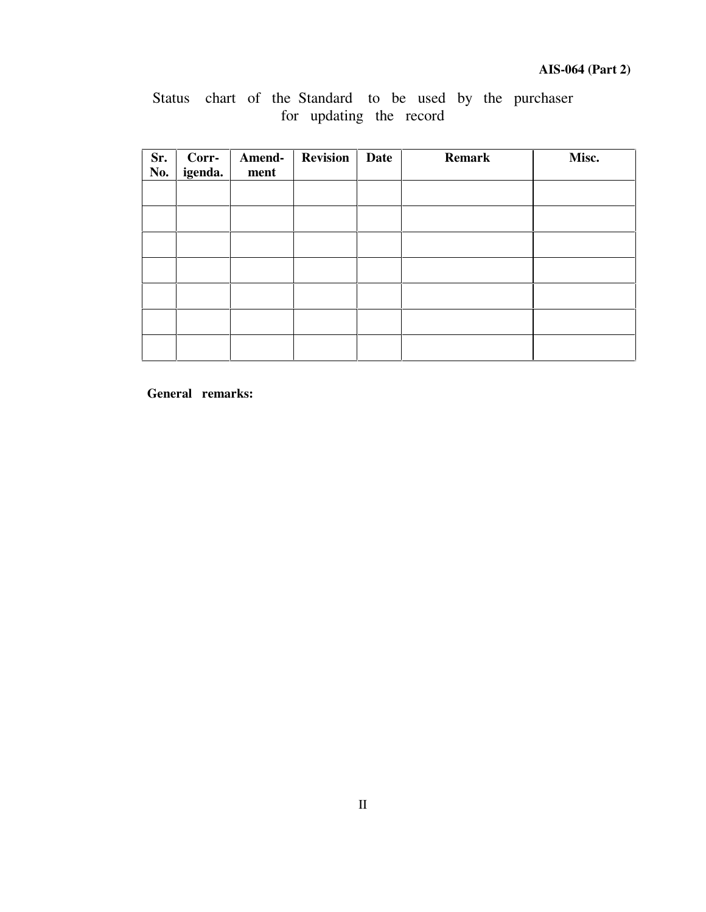## Status chart of the Standard to be used by the purchaser for updating the record

| Sr.<br>No. | Corr-<br>igenda. | Amend-<br>ment | <b>Revision</b> | Date | <b>Remark</b> | Misc. |
|------------|------------------|----------------|-----------------|------|---------------|-------|
|            |                  |                |                 |      |               |       |
|            |                  |                |                 |      |               |       |
|            |                  |                |                 |      |               |       |
|            |                  |                |                 |      |               |       |
|            |                  |                |                 |      |               |       |
|            |                  |                |                 |      |               |       |
|            |                  |                |                 |      |               |       |

**General remarks:**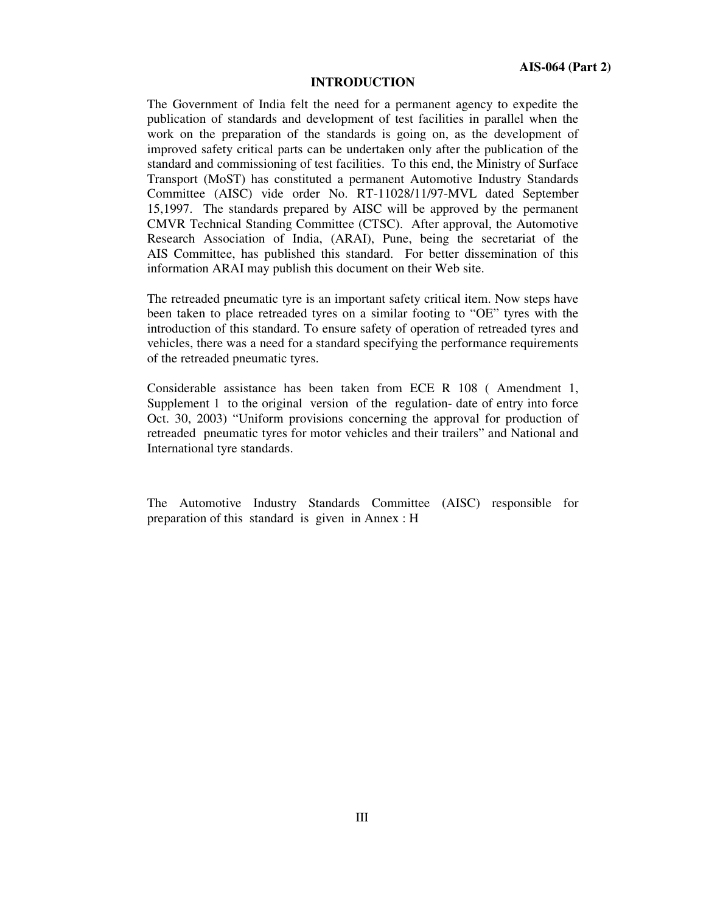#### **INTRODUCTION**

The Government of India felt the need for a permanent agency to expedite the publication of standards and development of test facilities in parallel when the work on the preparation of the standards is going on, as the development of improved safety critical parts can be undertaken only after the publication of the standard and commissioning of test facilities. To this end, the Ministry of Surface Transport (MoST) has constituted a permanent Automotive Industry Standards Committee (AISC) vide order No. RT-11028/11/97-MVL dated September 15,1997. The standards prepared by AISC will be approved by the permanent CMVR Technical Standing Committee (CTSC). After approval, the Automotive Research Association of India, (ARAI), Pune, being the secretariat of the AIS Committee, has published this standard. For better dissemination of this information ARAI may publish this document on their Web site.

The retreaded pneumatic tyre is an important safety critical item. Now steps have been taken to place retreaded tyres on a similar footing to "OE" tyres with the introduction of this standard. To ensure safety of operation of retreaded tyres and vehicles, there was a need for a standard specifying the performance requirements of the retreaded pneumatic tyres.

Considerable assistance has been taken from ECE R 108 ( Amendment 1, Supplement 1 to the original version of the regulation- date of entry into force Oct. 30, 2003) "Uniform provisions concerning the approval for production of retreaded pneumatic tyres for motor vehicles and their trailers" and National and International tyre standards.

The Automotive Industry Standards Committee (AISC) responsible for preparation of this standard is given in Annex : H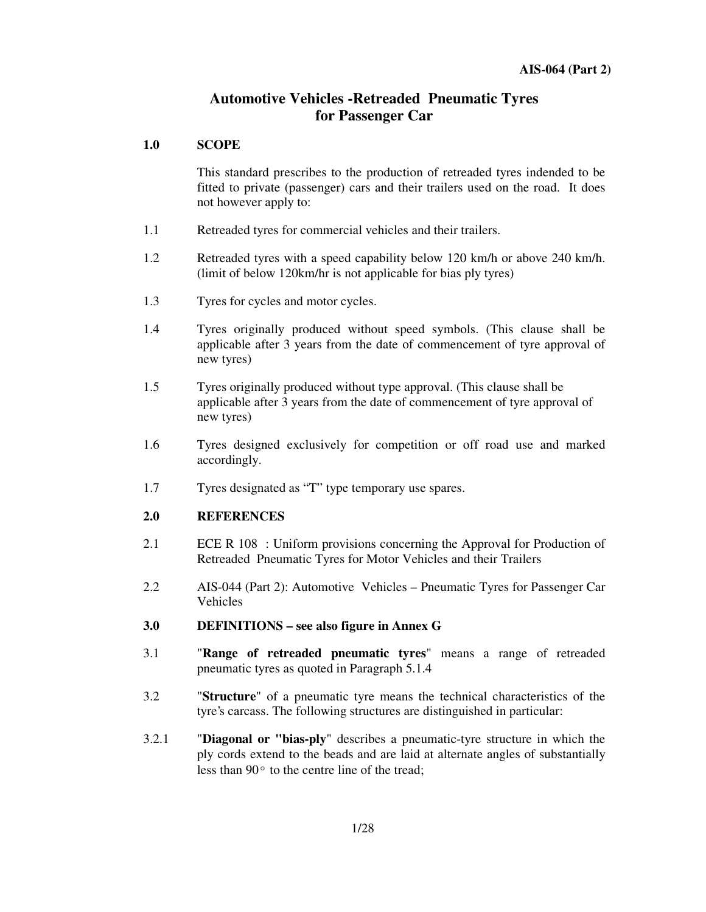## **Automotive Vehicles -Retreaded Pneumatic Tyres for Passenger Car**

#### **1.0 SCOPE**

This standard prescribes to the production of retreaded tyres indended to be fitted to private (passenger) cars and their trailers used on the road. It does not however apply to:

- 1.1 Retreaded tyres for commercial vehicles and their trailers.
- 1.2 Retreaded tyres with a speed capability below 120 km/h or above 240 km/h. (limit of below 120km/hr is not applicable for bias ply tyres)
- 1.3 Tyres for cycles and motor cycles.
- 1.4 Tyres originally produced without speed symbols. (This clause shall be applicable after 3 years from the date of commencement of tyre approval of new tyres)
- 1.5 Tyres originally produced without type approval. (This clause shall be applicable after 3 years from the date of commencement of tyre approval of new tyres)
- 1.6 Tyres designed exclusively for competition or off road use and marked accordingly.
- 1.7 Tyres designated as "T" type temporary use spares.

#### **2.0 REFERENCES**

- 2.1 ECE R 108 : Uniform provisions concerning the Approval for Production of Retreaded Pneumatic Tyres for Motor Vehicles and their Trailers
- 2.2 AIS-044 (Part 2): Automotive Vehicles Pneumatic Tyres for Passenger Car Vehicles
- **3.0 DEFINITIONS – see also figure in Annex G**
- 3.1 "**Range of retreaded pneumatic tyres**" means a range of retreaded pneumatic tyres as quoted in Paragraph 5.1.4
- 3.2 "**Structure**" of a pneumatic tyre means the technical characteristics of the tyre's carcass. The following structures are distinguished in particular:
- 3.2.1 "**Diagonal or "bias-ply**" describes a pneumatic-tyre structure in which the ply cords extend to the beads and are laid at alternate angles of substantially less than  $90^{\circ}$  to the centre line of the tread;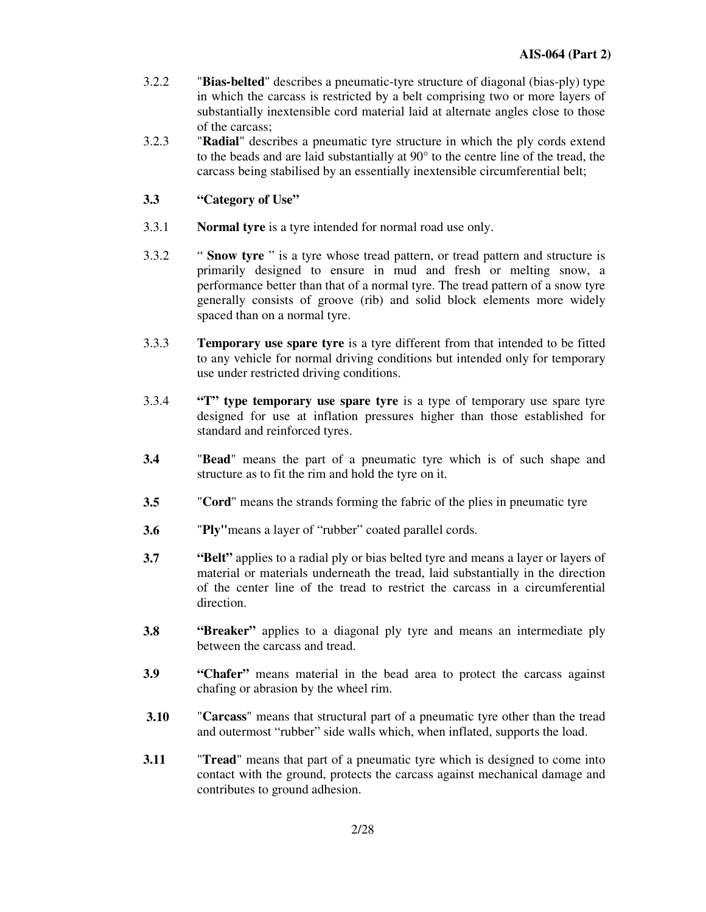- 3.2.2 "**Bias-belted**" describes a pneumatic-tyre structure of diagonal (bias-ply) type in which the carcass is restricted by a belt comprising two or more layers of substantially inextensible cord material laid at alternate angles close to those of the carcass;
- 3.2.3 "**Radial**" describes a pneumatic tyre structure in which the ply cords extend to the beads and are laid substantially at 90° to the centre line of the tread, the carcass being stabilised by an essentially inextensible circumferential belt;
- **3.3 "Category of Use"**
- 3.3.1 **Normal tyre** is a tyre intended for normal road use only.
- 3.3.2 " **Snow tyre** " is a tyre whose tread pattern, or tread pattern and structure is primarily designed to ensure in mud and fresh or melting snow, a performance better than that of a normal tyre. The tread pattern of a snow tyre generally consists of groove (rib) and solid block elements more widely spaced than on a normal tyre.
- 3.3.3 **Temporary use spare tyre** is a tyre different from that intended to be fitted to any vehicle for normal driving conditions but intended only for temporary use under restricted driving conditions.
- 3.3.4 **"T" type temporary use spare tyre** is a type of temporary use spare tyre designed for use at inflation pressures higher than those established for standard and reinforced tyres.
- **3.4** "**Bead**" means the part of a pneumatic tyre which is of such shape and structure as to fit the rim and hold the tyre on it.
- **3.5** "**Cord**" means the strands forming the fabric of the plies in pneumatic tyre
- **3.6** "Ply" means a layer of "rubber" coated parallel cords.
- **3.7 "Belt"** applies to a radial ply or bias belted tyre and means a layer or layers of material or materials underneath the tread, laid substantially in the direction of the center line of the tread to restrict the carcass in a circumferential direction.
- **3.8 "Breaker"** applies to a diagonal ply tyre and means an intermediate ply between the carcass and tread.
- **3.9 "Chafer"** means material in the bead area to protect the carcass against chafing or abrasion by the wheel rim.
- **3.10** "**Carcass**" means that structural part of a pneumatic tyre other than the tread and outermost "rubber" side walls which, when inflated, supports the load.
- **3.11** "**Tread**" means that part of a pneumatic tyre which is designed to come into contact with the ground, protects the carcass against mechanical damage and contributes to ground adhesion.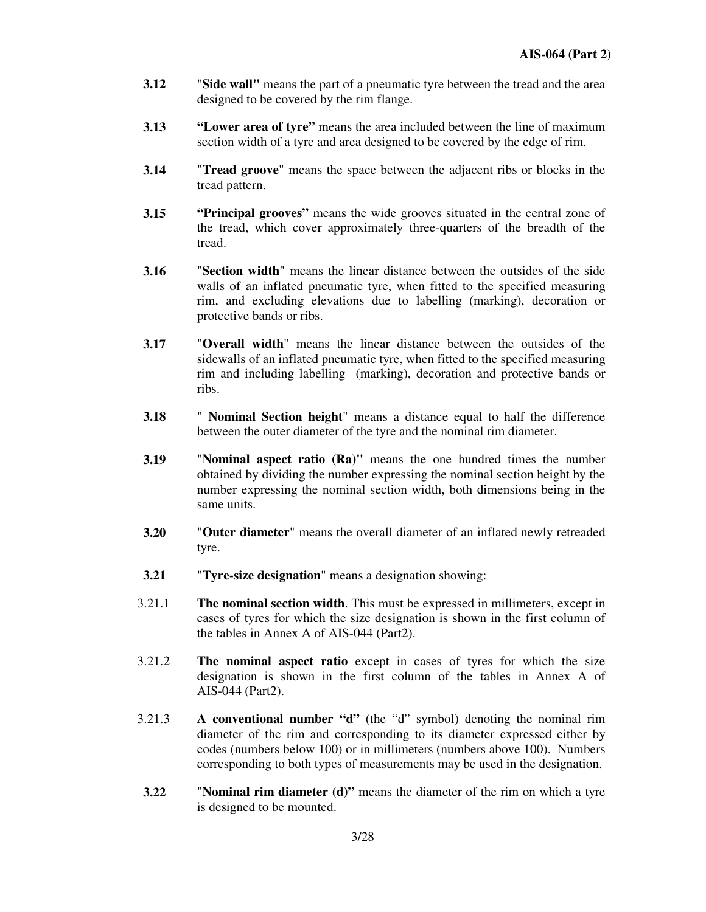- **3.12** "**Side wall"** means the part of a pneumatic tyre between the tread and the area designed to be covered by the rim flange.
- **3.13 " Lower area of tyre"** means the area included between the line of maximum section width of a tyre and area designed to be covered by the edge of rim.
- **3.14** "**Tread groove**" means the space between the adjacent ribs or blocks in the tread pattern.
- **3.15 "Principal grooves"** means the wide grooves situated in the central zone of the tread, which cover approximately three-quarters of the breadth of the tread.
- **3.16** "**Section width**" means the linear distance between the outsides of the side walls of an inflated pneumatic tyre, when fitted to the specified measuring rim, and excluding elevations due to labelling (marking), decoration or protective bands or ribs.
- **3.17** "**Overall width**" means the linear distance between the outsides of the sidewalls of an inflated pneumatic tyre, when fitted to the specified measuring rim and including labelling (marking), decoration and protective bands or ribs.
- **3.18** " **Nominal Section height**" means a distance equal to half the difference between the outer diameter of the tyre and the nominal rim diameter.
- **3.19** "**Nominal aspect ratio (Ra)"** means the one hundred times the number obtained by dividing the number expressing the nominal section height by the number expressing the nominal section width, both dimensions being in the same units.
- **3.20** "**Outer diameter**" means the overall diameter of an inflated newly retreaded tyre.
- **3.21** "**Tyre-size designation**" means a designation showing:
- 3.21.1 **The nominal section width**. This must be expressed in millimeters, except in cases of tyres for which the size designation is shown in the first column of the tables in Annex A of AIS-044 (Part2).
- 3.21.2 **The nominal aspect ratio** except in cases of tyres for which the size designation is shown in the first column of the tables in Annex A of AIS-044 (Part2).
- 3.21.3 **A conventional number " d"** (the " d" symbol) denoting the nominal rim diameter of the rim and corresponding to its diameter expressed either by codes (numbers below 100) or in millimeters (numbers above 100). Numbers corresponding to both types of measurements may be used in the designation.
- **3.22** "**Nominal rim diameter (d)"** means the diameter of the rim on which a tyre is designed to be mounted.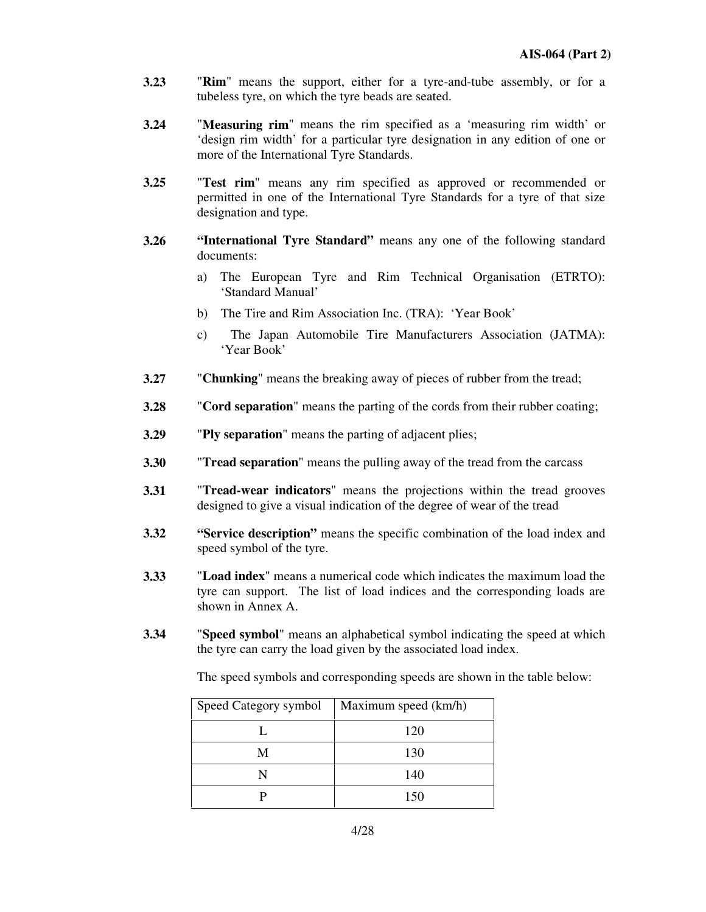- **3.23** "**Rim**" means the support, either for a tyre-and-tube assembly, or for a tubeless tyre, on which the tyre beads are seated.
- **3.24** "**Measuring rim**" means the rim specified as a 'measuring rim width' or 'design rim width' for a particular tyre designation in any edition of one or more of the International Tyre Standards.
- **3.25** "**Test rim**" means any rim specified as approved or recommended or permitted in one of the International Tyre Standards for a tyre of that size designation and type.
- **3.26 " International Tyre Standard"** means any one of the following standard documents:
	- a) The European Tyre and Rim Technical Organisation (ETRTO): 'Standard Manual'
	- b) The Tire and Rim Association Inc. (TRA): 'Year Book'
	- c) The Japan Automobile Tire Manufacturers Association (JATMA): 'Year Book'
- **3.27** "**Chunking**" means the breaking away of pieces of rubber from the tread;
- **3.28** "**Cord separation**" means the parting of the cords from their rubber coating;
- **3.29** "**Ply separation**" means the parting of adjacent plies;
- **3.30** "**Tread separation**" means the pulling away of the tread from the carcass
- **3.31** "**Tread-wear indicators**" means the projections within the tread grooves designed to give a visual indication of the degree of wear of the tread
- **3.32 " Service description"** means the specific combination of the load index and speed symbol of the tyre.
- **3.33** "**Load index**" means a numerical code which indicates the maximum load the tyre can support. The list of load indices and the corresponding loads are shown in Annex A.
- **3.34** "**Speed symbol**" means an alphabetical symbol indicating the speed at which the tyre can carry the load given by the associated load index.

The speed symbols and corresponding speeds are shown in the table below:

| Speed Category symbol   Maximum speed (km/h) |     |
|----------------------------------------------|-----|
|                                              | 120 |
| М                                            | 130 |
|                                              | 140 |
|                                              | 150 |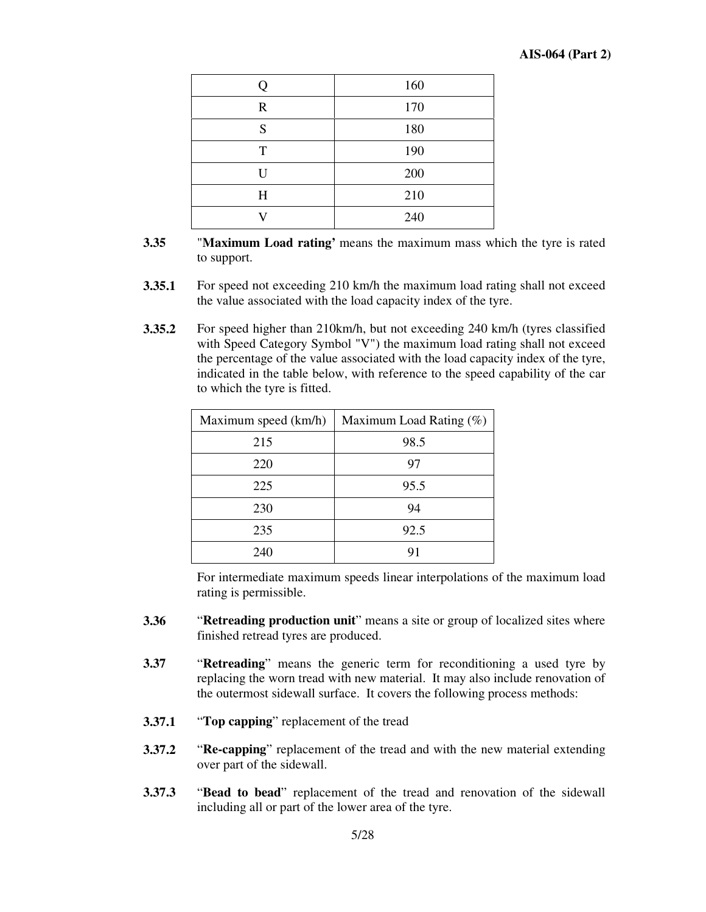|             | 160 |
|-------------|-----|
| $\mathbf R$ | 170 |
| S           | 180 |
| T           | 190 |
| U           | 200 |
| H           | 210 |
|             | 240 |

- **3.35** "**Maximum Load rating'** means the maximum mass which the tyre is rated to support.
- **3.35.1** For speed not exceeding 210 km/h the maximum load rating shall not exceed the value associated with the load capacity index of the tyre.
- **3.35.2** For speed higher than 210km/h, but not exceeding 240 km/h (tyres classified with Speed Category Symbol "V") the maximum load rating shall not exceed the percentage of the value associated with the load capacity index of the tyre, indicated in the table below, with reference to the speed capability of the car to which the tyre is fitted.

| Maximum speed (km/h) | Maximum Load Rating $(\%)$ |
|----------------------|----------------------------|
| 215                  | 98.5                       |
| 220                  | 97                         |
| 225                  | 95.5                       |
| 230                  | 94                         |
| 235                  | 92.5                       |
| 240                  |                            |

For intermediate maximum speeds linear interpolations of the maximum load rating is permissible.

- **3.36** " **Retreading production unit**" means a site or group of localized sites where finished retread tyres are produced.
- **3.37** "**Retreading**" means the generic term for reconditioning a used tyre by replacing the worn tread with new material. It may also include renovation of the outermost sidewall surface. It covers the following process methods:
- **3.37.1** " **Top capping**" replacement of the tread
- **3.37.2** " **Re-capping**" replacement of the tread and with the new material extending over part of the sidewall.
- **3.37.3** " **Bead to bead**" replacement of the tread and renovation of the sidewall including all or part of the lower area of the tyre.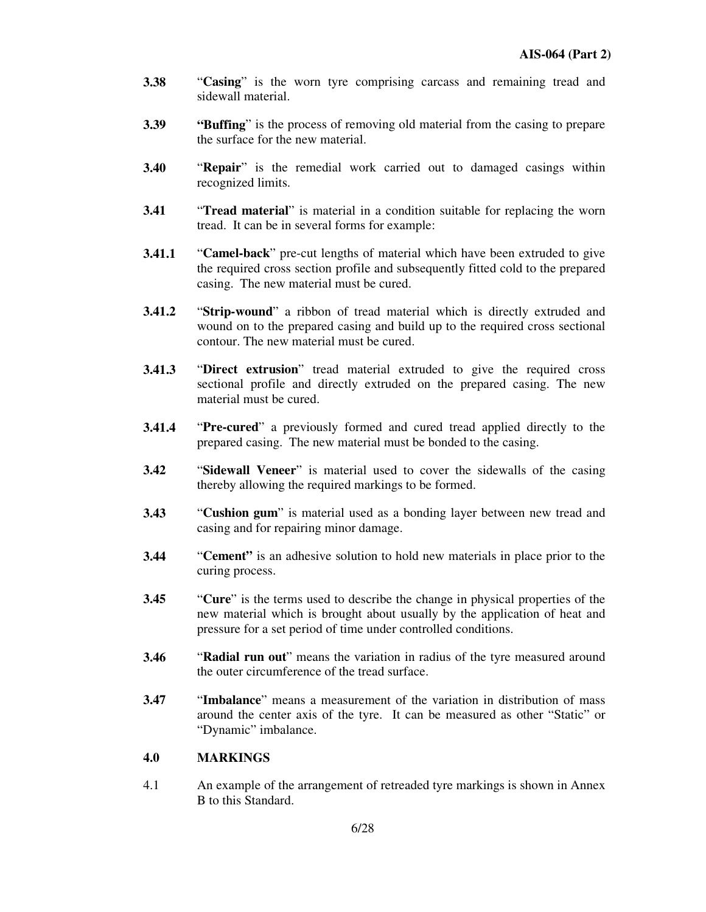- **3.38** "Casing" is the worn tyre comprising carcass and remaining tread and sidewall material.
- **3.39 "Buffing**" is the process of removing old material from the casing to prepare the surface for the new material.
- **3.40** "**Repair**" is the remedial work carried out to damaged casings within recognized limits.
- **3.41 Tread material**" is material in a condition suitable for replacing the worn tread. It can be in several forms for example:
- **3.41.1** "**Camel-back**" pre-cut lengths of material which have been extruded to give the required cross section profile and subsequently fitted cold to the prepared casing. The new material must be cured.
- **3.41.2** "**Strip-wound**" a ribbon of tread material which is directly extruded and wound on to the prepared casing and build up to the required cross sectional contour. The new material must be cured.
- **3.41.3** "Direct extrusion" tread material extruded to give the required cross sectional profile and directly extruded on the prepared casing. The new material must be cured.
- **3.41.4** "**Pre-cured**" a previously formed and cured tread applied directly to the prepared casing. The new material must be bonded to the casing.
- **3.42** " **Sidewall Veneer**" is material used to cover the sidewalls of the casing thereby allowing the required markings to be formed.
- **3.43** " Cushion gum" is material used as a bonding layer between new tread and casing and for repairing minor damage.
- **3.44** "**Cement**" is an adhesive solution to hold new materials in place prior to the curing process.
- **3.45** " Cure" is the terms used to describe the change in physical properties of the new material which is brought about usually by the application of heat and pressure for a set period of time under controlled conditions.
- **3.46** " **Radial run out**" means the variation in radius of the tyre measured around the outer circumference of the tread surface.
- **3.47** "**Imbalance**" means a measurement of the variation in distribution of mass around the center axis of the tyre. It can be measured as other "Static" or "Dynamic" imbalance.

#### **4.0 MARKINGS**

4.1 An example of the arrangement of retreaded tyre markings is shown in Annex B to this Standard.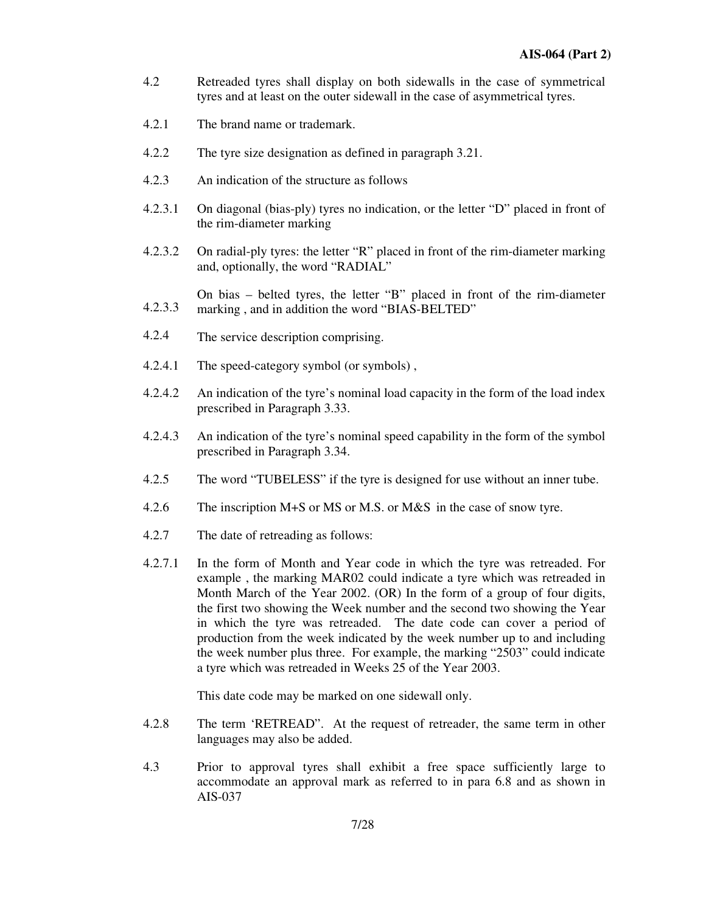- 4.2 Retreaded tyres shall display on both sidewalls in the case of symmetrical tyres and at least on the outer sidewall in the case of asymmetrical tyres.
- 4.2.1 The brand name or trademark.
- 4.2.2 The tyre size designation as defined in paragraph 3.21.
- 4.2.3 An indication of the structure as follows
- 4.2.3.1 On diagonal (bias-ply) tyres no indication, or the letter "D" placed in front of the rim-diameter marking
- 4.2.3.2 On radial-ply tyres: the letter "R" placed in front of the rim-diameter marking and, optionally, the word "RADIAL"
- 4.2.3.3 On bias – belted tyres, the letter "B" placed in front of the rim-diameter marking, and in addition the word "BIAS-BELTED"
- 4.2.4 The service description comprising.
- 4.2.4.1 The speed-category symbol (or symbols) ,
- 4.2.4.2 An indication of the tyre's nominal load capacity in the form of the load index prescribed in Paragraph 3.33.
- 4.2.4.3 An indication of the tyre's nominal speed capability in the form of the symbol prescribed in Paragraph 3.34.
- 4.2.5 The word "TUBELESS" if the tyre is designed for use without an inner tube.
- 4.2.6 The inscription M+S or MS or M.S. or M&S in the case of snow tyre.
- 4.2.7 The date of retreading as follows:
- 4.2.7.1 In the form of Month and Year code in which the tyre was retreaded. For example , the marking MAR02 could indicate a tyre which was retreaded in Month March of the Year 2002. (OR) In the form of a group of four digits, the first two showing the Week number and the second two showing the Year in which the tyre was retreaded. The date code can cover a period of production from the week indicated by the week number up to and including the week number plus three. For example, the marking "2503" could indicate a tyre which was retreaded in Weeks 25 of the Year 2003.

This date code may be marked on one sidewall only.

- 4.2.8 The term 'RETREAD". At the request of retreader, the same term in other languages may also be added.
- 4.3 Prior to approval tyres shall exhibit a free space sufficiently large to accommodate an approval mark as referred to in para 6.8 and as shown in AIS-037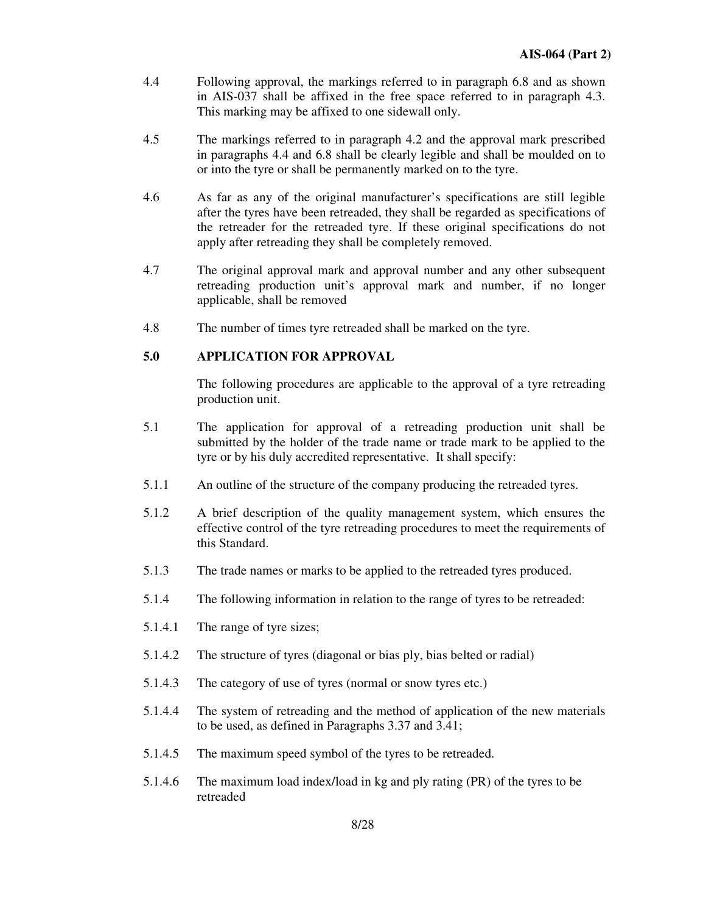- 4.4 Following approval, the markings referred to in paragraph 6.8 and as shown in AIS-037 shall be affixed in the free space referred to in paragraph 4.3. This marking may be affixed to one sidewall only.
- 4.5 The markings referred to in paragraph 4.2 and the approval mark prescribed in paragraphs 4.4 and 6.8 shall be clearly legible and shall be moulded on to or into the tyre or shall be permanently marked on to the tyre.
- 4.6 As far as any of the original manufacturer's specifications are still legible after the tyres have been retreaded, they shall be regarded as specifications of the retreader for the retreaded tyre. If these original specifications do not apply after retreading they shall be completely removed.
- 4.7 The original approval mark and approval number and any other subsequent retreading production unit's approval mark and number, if no longer applicable, shall be removed
- 4.8 The number of times tyre retreaded shall be marked on the tyre.

#### **5.0 APPLICATION FOR APPROVAL**

The following procedures are applicable to the approval of a tyre retreading production unit.

- 5.1 The application for approval of a retreading production unit shall be submitted by the holder of the trade name or trade mark to be applied to the tyre or by his duly accredited representative. It shall specify:
- 5.1.1 An outline of the structure of the company producing the retreaded tyres.
- 5.1.2 A brief description of the quality management system, which ensures the effective control of the tyre retreading procedures to meet the requirements of this Standard.
- 5.1.3 The trade names or marks to be applied to the retreaded tyres produced.
- 5.1.4 The following information in relation to the range of tyres to be retreaded:
- 5.1.4.1 The range of tyre sizes;
- 5.1.4.2 The structure of tyres (diagonal or bias ply, bias belted or radial)
- 5.1.4.3 The category of use of tyres (normal or snow tyres etc.)
- 5.1.4.4 The system of retreading and the method of application of the new materials to be used, as defined in Paragraphs 3.37 and 3.41;
- 5.1.4.5 The maximum speed symbol of the tyres to be retreaded.
- 5.1.4.6 The maximum load index/load in kg and ply rating (PR) of the tyres to be retreaded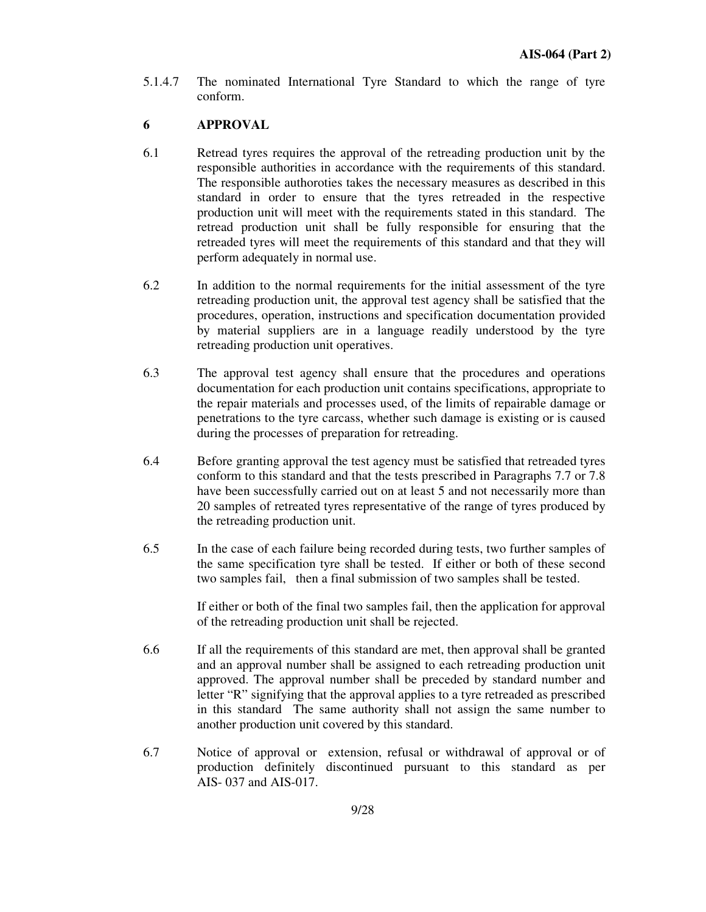5.1.4.7 The nominated International Tyre Standard to which the range of tyre conform.

## **6 APPROVAL**

- 6.1 Retread tyres requires the approval of the retreading production unit by the responsible authorities in accordance with the requirements of this standard. The responsible authoroties takes the necessary measures as described in this standard in order to ensure that the tyres retreaded in the respective production unit will meet with the requirements stated in this standard. The retread production unit shall be fully responsible for ensuring that the retreaded tyres will meet the requirements of this standard and that they will perform adequately in normal use.
- 6.2 In addition to the normal requirements for the initial assessment of the tyre retreading production unit, the approval test agency shall be satisfied that the procedures, operation, instructions and specification documentation provided by material suppliers are in a language readily understood by the tyre retreading production unit operatives.
- 6.3 The approval test agency shall ensure that the procedures and operations documentation for each production unit contains specifications, appropriate to the repair materials and processes used, of the limits of repairable damage or penetrations to the tyre carcass, whether such damage is existing or is caused during the processes of preparation for retreading.
- 6.4 Before granting approval the test agency must be satisfied that retreaded tyres conform to this standard and that the tests prescribed in Paragraphs 7.7 or 7.8 have been successfully carried out on at least 5 and not necessarily more than 20 samples of retreated tyres representative of the range of tyres produced by the retreading production unit.
- 6.5 In the case of each failure being recorded during tests, two further samples of the same specification tyre shall be tested. If either or both of these second two samples fail, then a final submission of two samples shall be tested.

If either or both of the final two samples fail, then the application for approval of the retreading production unit shall be rejected.

- 6.6 If all the requirements of this standard are met, then approval shall be granted and an approval number shall be assigned to each retreading production unit approved. The approval number shall be preceded by standard number and letter "R" signifying that the approval applies to a tyre retreaded as prescribed in this standard The same authority shall not assign the same number to another production unit covered by this standard.
- 6.7 Notice of approval or extension, refusal or withdrawal of approval or of production definitely discontinued pursuant to this standard as per AIS- 037 and AIS-017.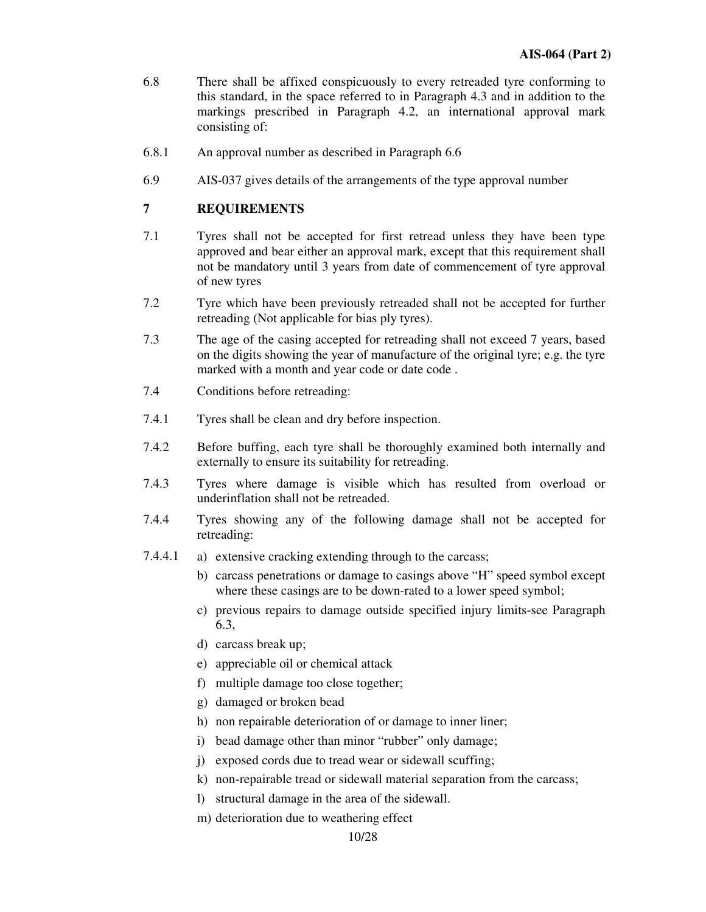- 6.8 There shall be affixed conspicuously to every retreaded tyre conforming to this standard, in the space referred to in Paragraph 4.3 and in addition to the markings prescribed in Paragraph 4.2, an international approval mark consisting of:
- 6.8.1 An approval number as described in Paragraph 6.6
- 6.9 AIS-037 gives details of the arrangements of the type approval number

## **7 REQUIREMENTS**

- 7.1 Tyres shall not be accepted for first retread unless they have been type approved and bear either an approval mark, except that this requirement shall not be mandatory until 3 years from date of commencement of tyre approval of new tyres
- 7.2 Tyre which have been previously retreaded shall not be accepted for further retreading (Not applicable for bias ply tyres).
- 7.3 The age of the casing accepted for retreading shall not exceed 7 years, based on the digits showing the year of manufacture of the original tyre; e.g. the tyre marked with a month and year code or date code.
- 7.4 Conditions before retreading:
- 7.4.1 Tyres shall be clean and dry before inspection.
- 7.4.2 Before buffing, each tyre shall be thoroughly examined both internally and externally to ensure its suitability for retreading.
- 7.4.3 Tyres where damage is visible which has resulted from overload or underinflation shall not be retreaded.
- 7.4.4 Tyres showing any of the following damage shall not be accepted for retreading:
- 7.4.4.1 a) extensive cracking extending through to the carcass;
	- b) carcass penetrations or damage to casings above "H" speed symbol except where these casings are to be down-rated to a lower speed symbol;
	- c) previous repairs to damage outside specified injury limits-see Paragraph 6.3,
	- d) carcass break up;
	- e) appreciable oil or chemical attack
	- f) multiple damage too close together;
	- g) damaged or broken bead
	- h) non repairable deterioration of or damage to inner liner;
	- i) bead damage other than minor "rubber" only damage;
	- j) exposed cords due to tread wear or sidewall scuffing;
	- k) non-repairable tread or sidewall material separation from the carcass;
	- l) structural damage in the area of the sidewall.
	- m) deterioration due to weathering effect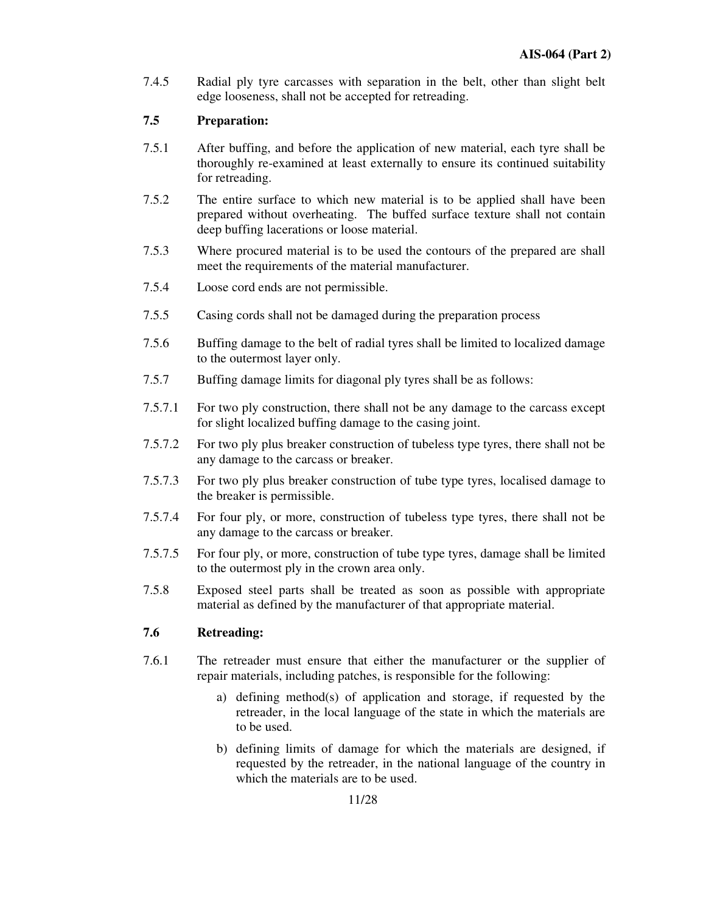7.4.5 Radial ply tyre carcasses with separation in the belt, other than slight belt edge looseness, shall not be accepted for retreading.

## **7.5 Preparation:**

- 7.5.1 After buffing, and before the application of new material, each tyre shall be thoroughly re-examined at least externally to ensure its continued suitability for retreading.
- 7.5.2 The entire surface to which new material is to be applied shall have been prepared without overheating. The buffed surface texture shall not contain deep buffing lacerations or loose material.
- 7.5.3 Where procured material is to be used the contours of the prepared are shall meet the requirements of the material manufacturer.
- 7.5.4 Loose cord ends are not permissible.
- 7.5.5 Casing cords shall not be damaged during the preparation process
- 7.5.6 Buffing damage to the belt of radial tyres shall be limited to localized damage to the outermost layer only.
- 7.5.7 Buffing damage limits for diagonal ply tyres shall be as follows:
- 7.5.7.1 For two ply construction, there shall not be any damage to the carcass except for slight localized buffing damage to the casing joint.
- 7.5.7.2 For two ply plus breaker construction of tubeless type tyres, there shall not be any damage to the carcass or breaker.
- 7.5.7.3 For two ply plus breaker construction of tube type tyres, localised damage to the breaker is permissible.
- 7.5.7.4 For four ply, or more, construction of tubeless type tyres, there shall not be any damage to the carcass or breaker.
- 7.5.7.5 For four ply, or more, construction of tube type tyres, damage shall be limited to the outermost ply in the crown area only.
- 7.5.8 Exposed steel parts shall be treated as soon as possible with appropriate material as defined by the manufacturer of that appropriate material.

## **7.6 Retreading:**

- 7.6.1 The retreader must ensure that either the manufacturer or the supplier of repair materials, including patches, is responsible for the following:
	- a) defining method(s) of application and storage, if requested by the retreader, in the local language of the state in which the materials are to be used.
	- b) defining limits of damage for which the materials are designed, if requested by the retreader, in the national language of the country in which the materials are to be used.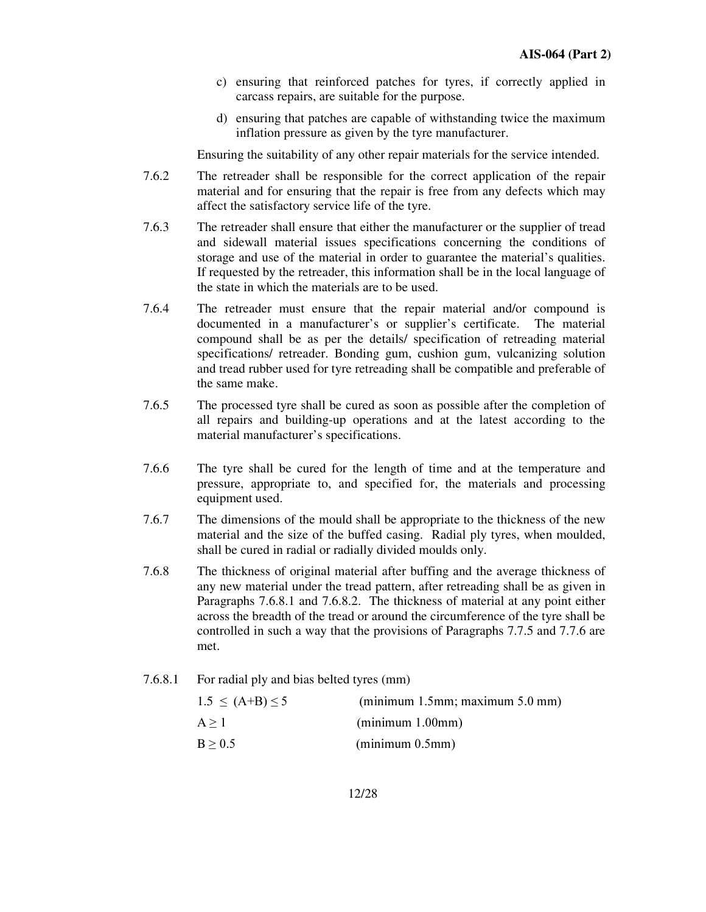- c) ensuring that reinforced patches for tyres, if correctly applied in carcass repairs, are suitable for the purpose.
- d) ensuring that patches are capable of withstanding twice the maximum inflation pressure as given by the tyre manufacturer.

Ensuring the suitability of any other repair materials for the service intended.

- 7.6.2 The retreader shall be responsible for the correct application of the repair material and for ensuring that the repair is free from any defects which may affect the satisfactory service life of the tyre.
- 7.6.3 The retreader shall ensure that either the manufacturer or the supplier of tread and sidewall material issues specifications concerning the conditions of storage and use of the material in order to guarantee the material's qualities. If requested by the retreader, this information shall be in the local language of the state in which the materials are to be used.
- 7.6.4 The retreader must ensure that the repair material and/or compound is documented in a manufacturer's or supplier's certificate. The material compound shall be as per the details/ specification of retreading material specifications/ retreader. Bonding gum, cushion gum, vulcanizing solution and tread rubber used for tyre retreading shall be compatible and preferable of the same make.
- 7.6.5 The processed tyre shall be cured as soon as possible after the completion of all repairs and building-up operations and at the latest according to the material manufacturer's specifications.
- 7.6.6 The tyre shall be cured for the length of time and at the temperature and pressure, appropriate to, and specified for, the materials and processing equipment used.
- 7.6.7 The dimensions of the mould shall be appropriate to the thickness of the new material and the size of the buffed casing. Radial ply tyres, when moulded, shall be cured in radial or radially divided moulds only.
- 7.6.8 The thickness of original material after buffing and the average thickness of any new material under the tread pattern, after retreading shall be as given in Paragraphs 7.6.8.1 and 7.6.8.2. The thickness of material at any point either across the breadth of the tread or around the circumference of the tyre shall be controlled in such a way that the provisions of Paragraphs 7.7.5 and 7.7.6 are met.
- 7.6.8.1 For radial ply and bias belted tyres (mm)

| $1.5 \leq (A+B) \leq 5$ | $(\text{minimum } 1.5 \text{mm}; \text{maximum } 5.0 \text{mm})$ |
|-------------------------|------------------------------------------------------------------|
| A > 1                   | (minimum 1.00mm)                                                 |
| B > 0.5                 | $(\text{minimum } 0.5 \text{mm})$                                |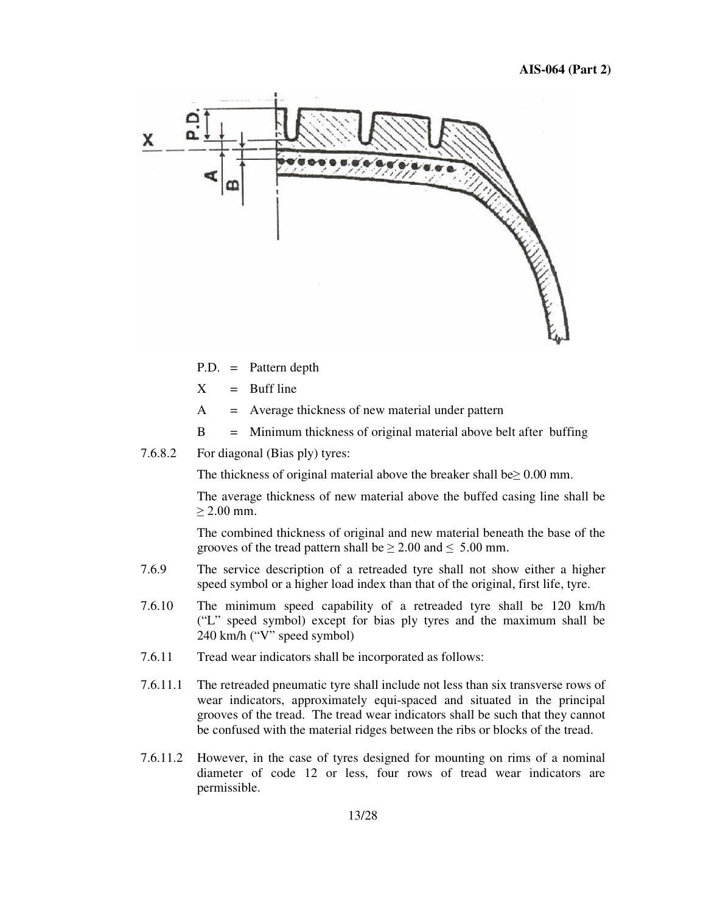

P.D. = Pattern depth

- $X =$  Buff line
- $A =$  Average thickness of new material under pattern
- B = Minimum thickness of original material above belt after buffing
- 7.6.8.2 For diagonal (Bias ply) tyres:

The thickness of original material above the breaker shall be  $\geq 0.00$  mm.

The average thickness of new material above the buffed casing line shall be  $\geq$  2.00 mm.

The combined thickness of original and new material beneath the base of the grooves of the tread pattern shall be  $\geq 2.00$  and  $\leq 5.00$  mm.

- 7.6.9 The service description of a retreaded tyre shall not show either a higher speed symbol or a higher load index than that of the original, first life, tyre.
- 7.6.10 The minimum speed capability of a retreaded tyre shall be 120 km/h ("L" speed symbol) except for bias ply tyres and the maximum shall be 240 km/h ("V" speed symbol)
- 7.6.11 Tread wear indicators shall be incorporated as follows:
- 7.6.11.1 The retreaded pneumatic tyre shall include not less than six transverse rows of wear indicators, approximately equi-spaced and situated in the principal grooves of the tread. The tread wear indicators shall be such that they cannot be confused with the material ridges between the ribs or blocks of the tread.
- 7.6.11.2 However, in the case of tyres designed for mounting on rims of a nominal diameter of code 12 or less, four rows of tread wear indicators are permissible.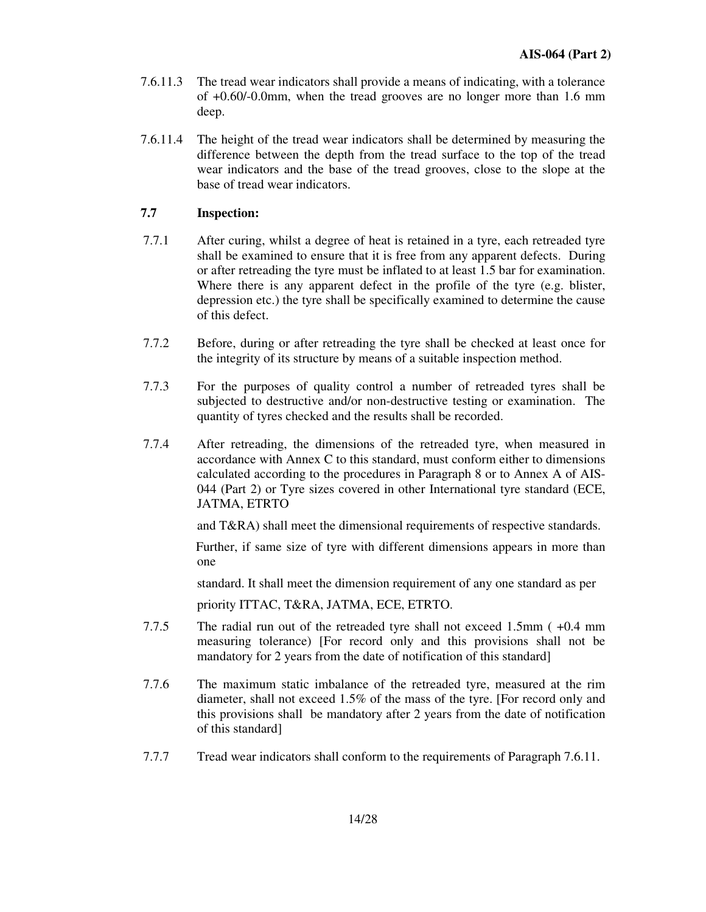- 7.6.11.3 The tread wear indicators shall provide a means of indicating, with a tolerance of +0.60/-0.0mm, when the tread grooves are no longer more than 1.6 mm deep.
- 7.6.11.4 The height of the tread wear indicators shall be determined by measuring the difference between the depth from the tread surface to the top of the tread wear indicators and the base of the tread grooves, close to the slope at the base of tread wear indicators.

## **7.7 Inspection:**

- 7.7.1 After curing, whilst a degree of heat is retained in a tyre, each retreaded tyre shall be examined to ensure that it is free from any apparent defects. During or after retreading the tyre must be inflated to at least 1.5 bar for examination. Where there is any apparent defect in the profile of the tyre (e.g. blister, depression etc.) the tyre shall be specifically examined to determine the cause of this defect.
- 7.7.2 Before, during or after retreading the tyre shall be checked at least once for the integrity of its structure by means of a suitable inspection method.
- 7.7.3 For the purposes of quality control a number of retreaded tyres shall be subjected to destructive and/or non-destructive testing or examination. The quantity of tyres checked and the results shall be recorded.
- 7.7.4 After retreading, the dimensions of the retreaded tyre, when measured in accordance with Annex C to this standard, must conform either to dimensions calculated according to the procedures in Paragraph 8 or to Annex A of AIS-044 (Part 2) or Tyre sizes covered in other International tyre standard (ECE, JATMA, ETRTO

and T&RA) shall meet the dimensional requirements of respective standards.

Further, if same size of tyre with different dimensions appears in more than one

standard. It shall meet the dimension requirement of any one standard as per

priority ITTAC, T&RA, JATMA, ECE, ETRTO.

- 7.7.5 The radial run out of the retreaded tyre shall not exceed 1.5mm ( +0.4 mm measuring tolerance) [For record only and this provisions shall not be mandatory for 2 years from the date of notification of this standard]
- 7.7.6 The maximum static imbalance of the retreaded tyre, measured at the rim diameter, shall not exceed 1.5% of the mass of the tyre. [For record only and this provisions shall be mandatory after 2 years from the date of notification of this standard]
- 7.7.7 Tread wear indicators shall conform to the requirements of Paragraph 7.6.11.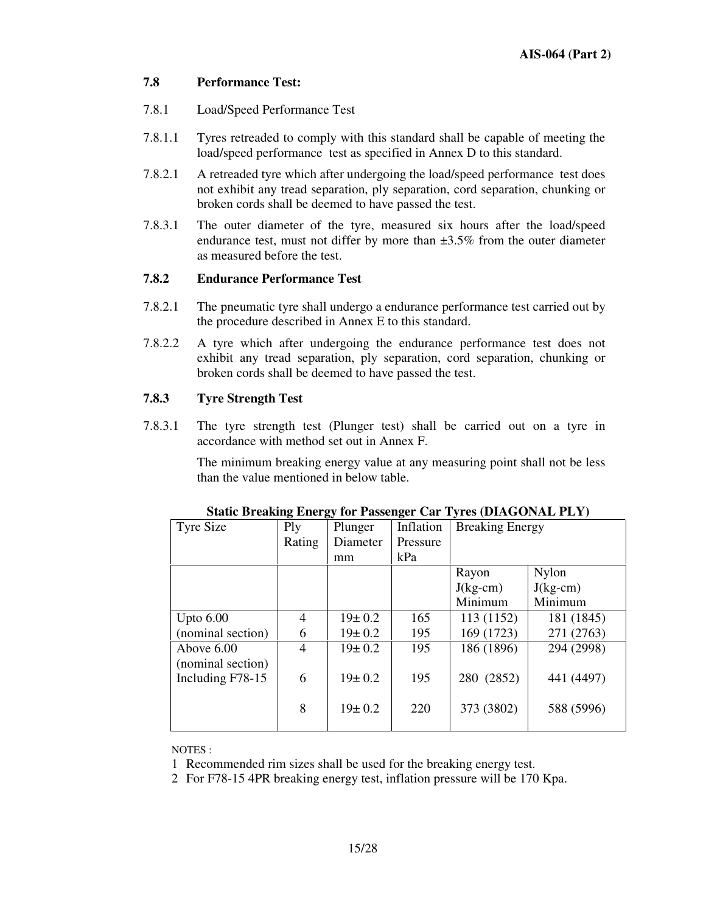## **7.8 Performance Test:**

- 7.8.1 Load/Speed Performance Test
- 7.8.1.1 Tyres retreaded to comply with this standard shall be capable of meeting the load/speed performance test as specified in Annex D to this standard.
- 7.8.2.1 A retreaded tyre which after undergoing the load/speed performance test does not exhibit any tread separation, ply separation, cord separation, chunking or broken cords shall be deemed to have passed the test.
- 7.8.3.1 The outer diameter of the tyre, measured six hours after the load/speed endurance test, must not differ by more than ±3.5% from the outer diameter as measured before the test.

## **7.8.2 Endurance Performance Test**

- 7.8.2.1 The pneumatic tyre shall undergo a endurance performance test carried out by the procedure described in Annex E to this standard.
- 7.8.2.2 A tyre which after undergoing the endurance performance test does not exhibit any tread separation, ply separation, cord separation, chunking or broken cords shall be deemed to have passed the test.

## **7.8.3 Tyre Strength Test**

7.8.3.1 The tyre strength test (Plunger test) shall be carried out on a tyre in accordance with method set out in Annex F.

> The minimum breaking energy value at any measuring point shall not be less than the value mentioned in below table.

| Tyre Size         | ິ<br>Ply       | Plunger      | Inflation | <b>Breaking Energy</b> |              |
|-------------------|----------------|--------------|-----------|------------------------|--------------|
|                   | Rating         | Diameter     | Pressure  |                        |              |
|                   |                | mm           | kPa       |                        |              |
|                   |                |              |           | Rayon                  | <b>Nylon</b> |
|                   |                |              |           | $J(kg-cm)$             | $J(kg-cm)$   |
|                   |                |              |           | Minimum                | Minimum      |
| Upto $6.00$       | 4              | $19 \pm 0.2$ | 165       | 113 (1152)             | 181 (1845)   |
| (nominal section) | 6              | $19 \pm 0.2$ | 195       | 169 (1723)             | 271 (2763)   |
| Above 6.00        | $\overline{4}$ | $19 \pm 0.2$ | 195       | 186 (1896)             | 294 (2998)   |
| (nominal section) |                |              |           |                        |              |
| Including F78-15  | 6              | $19 \pm 0.2$ | 195       | 280 (2852)             | 441 (4497)   |
|                   |                |              |           |                        |              |
|                   | 8              | $19 \pm 0.2$ | 220       | 373 (3802)             | 588 (5996)   |
|                   |                |              |           |                        |              |

#### **Static Breaking Energy for Passenger Car Tyres (DIAGONAL PLY)**

NOTES :

1 Recommended rim sizes shall be used for the breaking energy test.

2 For F78-15 4PR breaking energy test, inflation pressure will be 170 Kpa.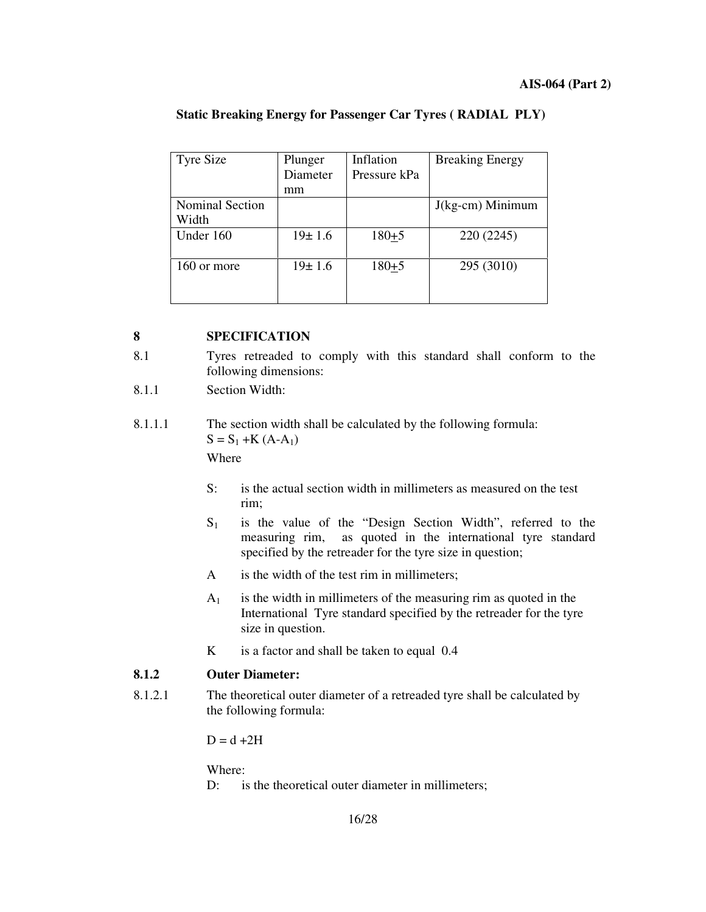| <b>Tyre Size</b>                | Plunger<br>Diameter | Inflation<br>Pressure kPa | <b>Breaking Energy</b> |
|---------------------------------|---------------------|---------------------------|------------------------|
|                                 | mm                  |                           |                        |
| <b>Nominal Section</b><br>Width |                     |                           | $J(kg-cm)$ Minimum     |
| Under 160                       | $19 \pm 1.6$        | $180 + 5$                 | 220 (2245)             |
| 160 or more                     | $19 \pm 1.6$        | $180 + 5$                 | 295 (3010)             |

## **Static Breaking Energy for Passenger Car Tyres ( RADIAL PLY)**

## **8 SPECIFICATION**

- 8.1 Tyres retreaded to comply with this standard shall conform to the following dimensions:
- 8.1.1 Section Width:
- 8.1.1.1 The section width shall be calculated by the following formula:  $S = S_1 + K (A-A_1)$ Where
	- S: is the actual section width in millimeters as measured on the test rim;
	- $S_1$  is the value of the "Design Section Width", referred to the measuring rim, as quoted in the international tyre standard specified by the retreader for the tyre size in question;
	- A is the width of the test rim in millimeters;
	- $A_1$  is the width in millimeters of the measuring rim as quoted in the International Tyre standard specified by the retreader for the tyre size in question.
	- K is a factor and shall be taken to equal 0.4

## **8.1.2 Outer Diameter:**

8.1.2.1 The theoretical outer diameter of a retreaded tyre shall be calculated by the following formula:

 $D = d + 2H$ 

Where:

D: is the theoretical outer diameter in millimeters;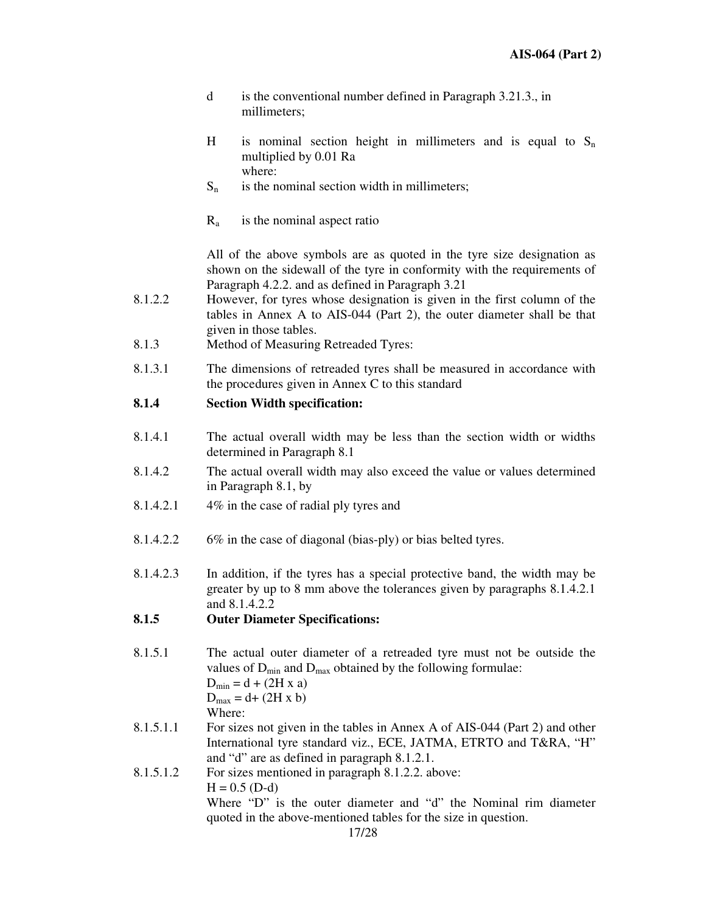- d is the conventional number defined in Paragraph 3.21.3., in millimeters;
- H is nominal section height in millimeters and is equal to  $S_n$ multiplied by 0.01 Ra where:
- $S_n$  is the nominal section width in millimeters;
- $R_a$  is the nominal aspect ratio

All of the above symbols are as quoted in the tyre size designation as shown on the sidewall of the tyre in conformity with the requirements of Paragraph 4.2.2. and as defined in Paragraph 3.21

- 8.1.2.2 However, for tyres whose designation is given in the first column of the tables in Annex A to AIS-044 (Part 2), the outer diameter shall be that given in those tables.
- 8.1.3 Method of Measuring Retreaded Tyres:
- 8.1.3.1 The dimensions of retreaded tyres shall be measured in accordance with the procedures given in Annex C to this standard

## **8.1.4 Section Width specification:**

- 8.1.4.1 The actual overall width may be less than the section width or widths determined in Paragraph 8.1
- 8.1.4.2 The actual overall width may also exceed the value or values determined in Paragraph 8.1, by
- 8.1.4.2.1 4% in the case of radial ply tyres and
- 8.1.4.2.2 6% in the case of diagonal (bias-ply) or bias belted tyres.
- 8.1.4.2.3 In addition, if the tyres has a special protective band, the width may be greater by up to 8 mm above the tolerances given by paragraphs 8.1.4.2.1 and 8.1.4.2.2

## **8.1.5 Outer Diameter Specifications:**

8.1.5.1 The actual outer diameter of a retreaded tyre must not be outside the values of  $D_{min}$  and  $D_{max}$  obtained by the following formulae:  $D_{\min} = d + (2H)$ 

$$
D_{\text{min}} = d + (2H \times d)
$$
  

$$
D_{\text{max}} = d + (2H \times b)
$$
  
Where:

- 8.1.5.1.1 For sizes not given in the tables in Annex A of AIS-044 (Part 2) and other International tyre standard viz., ECE, JATMA, ETRTO and T&RA, "H" and "d" are as defined in paragraph 8.1.2.1.
- 8.1.5.1.2 For sizes mentioned in paragraph 8.1.2.2. above:  $H = 0.5$  (D-d) Where "D" is the outer diameter and "d" the Nominal rim diameter quoted in the above-mentioned tables for the size in question.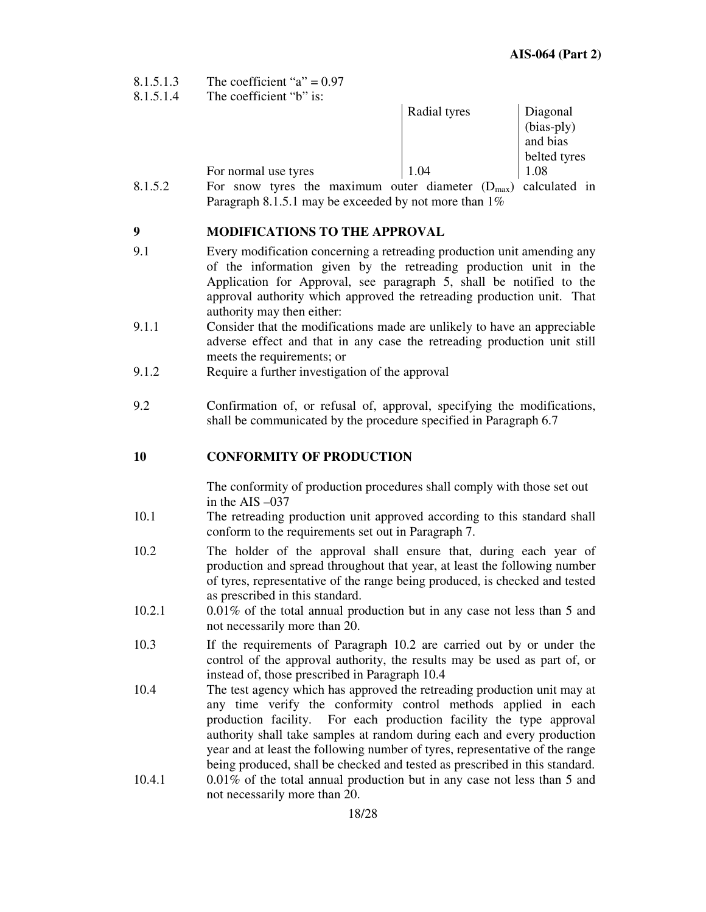- 8.1.5.1.3 The coefficient " $a$ " = 0.97<br>8.1.5.1.4 The coefficient "b" is:
- The coefficient " $b$ " is:

| THU UUUHIUIUH               |         |                |                    |               |  |
|-----------------------------|---------|----------------|--------------------|---------------|--|
|                             |         | Radial tyres   |                    | Diagonal      |  |
|                             |         |                |                    | (bias-ply)    |  |
|                             |         |                |                    | and bias      |  |
|                             |         |                |                    | belted tyres  |  |
| For normal use tyres        |         | 1.04           |                    | 1.08          |  |
| the<br>For<br>tyres<br>snow | maximum | outer diameter | $(D_{\text{max}})$ | calculated in |  |

8.1.5.2 For snow tyres the maximum outer diameter  $(D_{max})$  calculated in Paragraph 8.1.5.1 may be exceeded by not more than  $1\%$ 

## **9 MODIFICATIONS TO THE APPROVAL**

- 9.1 Every modification concerning a retreading production unit amending any of the information given by the retreading production unit in the Application for Approval, see paragraph 5, shall be notified to the approval authority which approved the retreading production unit. That authority may then either:
- 9.1.1 Consider that the modifications made are unlikely to have an appreciable adverse effect and that in any case the retreading production unit still meets the requirements; or
- 9.1.2 Require a further investigation of the approval
- 9.2 Confirmation of, or refusal of, approval, specifying the modifications, shall be communicated by the procedure specified in Paragraph 6.7

## **10 CONFORMITY OF PRODUCTION**

The conformity of production procedures shall comply with those set out in the AIS –037

- 10.1 The retreading production unit approved according to this standard shall conform to the requirements set out in Paragraph 7.
- 10.2 The holder of the approval shall ensure that, during each year of production and spread throughout that year, at least the following number of tyres, representative of the range being produced, is checked and tested as prescribed in this standard.
- 10.2.1 0.01% of the total annual production but in any case not less than 5 and not necessarily more than 20.
- 10.3 If the requirements of Paragraph 10.2 are carried out by or under the control of the approval authority, the results may be used as part of, or instead of, those prescribed in Paragraph 10.4
- 10.4 The test agency which has approved the retreading production unit may at any time verify the conformity control methods applied in each production facility. For each production facility the type approval authority shall take samples at random during each and every production year and at least the following number of tyres, representative of the range being produced, shall be checked and tested as prescribed in this standard.
- 10.4.1 0.01% of the total annual production but in any case not less than 5 and not necessarily more than 20.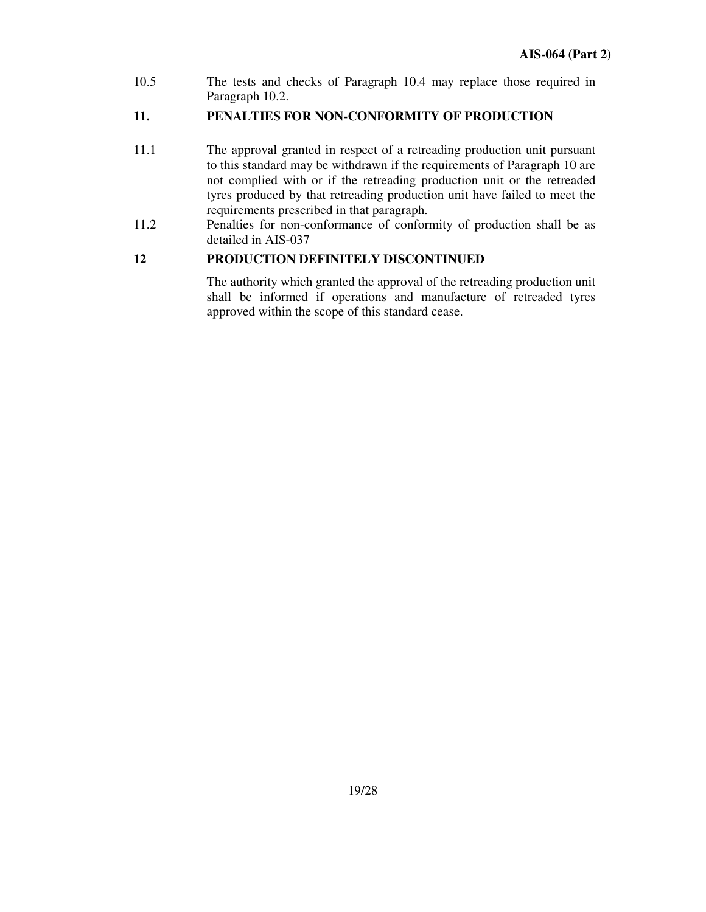10.5 The tests and checks of Paragraph 10.4 may replace those required in Paragraph 10.2.

## **11. PENALTIES FOR NON-CONFORMITY OF PRODUCTION**

- 11.1 The approval granted in respect of a retreading production unit pursuant to this standard may be withdrawn if the requirements of Paragraph 10 are not complied with or if the retreading production unit or the retreaded tyres produced by that retreading production unit have failed to meet the requirements prescribed in that paragraph.
- 11.2 Penalties for non-conformance of conformity of production shall be as detailed in AIS-037

## **12 PRODUCTION DEFINITELY DISCONTINUED**

The authority which granted the approval of the retreading production unit shall be informed if operations and manufacture of retreaded tyres approved within the scope of this standard cease.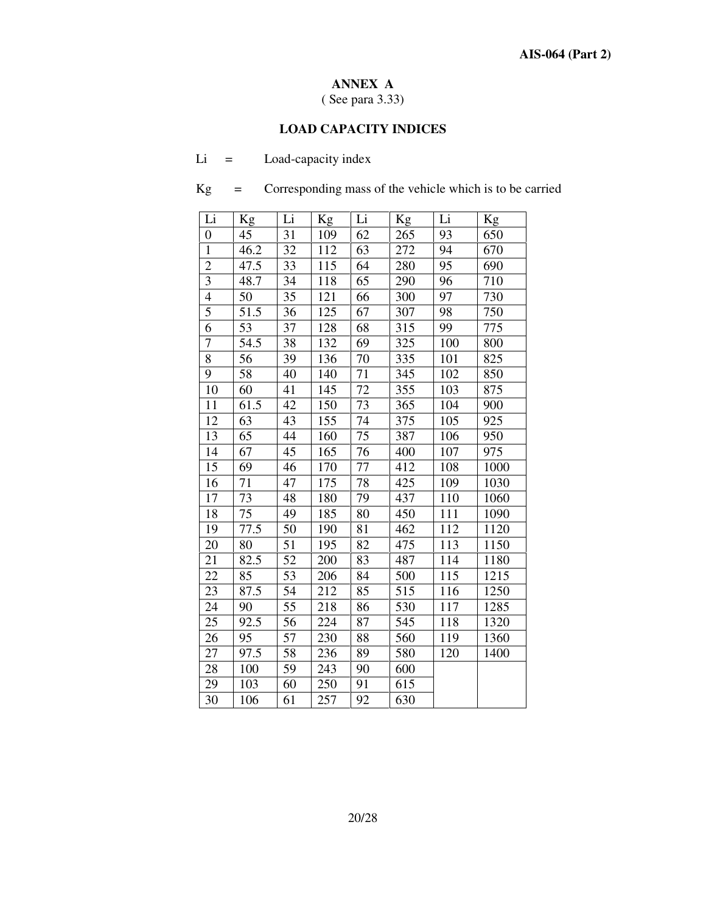## **ANNEX A**

( See para 3.33)

## **LOAD CAPACITY INDICES**

| -Li |  | Load-capacity index |
|-----|--|---------------------|
|-----|--|---------------------|

Kg = Corresponding mass of the vehicle which is to be carried

| Li             | Kg   | Li | Kg  | Li | Kg  | Li  | Kg   |
|----------------|------|----|-----|----|-----|-----|------|
| $\overline{0}$ | 45   | 31 | 109 | 62 | 265 | 93  | 650  |
| $\mathbf{1}$   | 46.2 | 32 | 112 | 63 | 272 | 94  | 670  |
| $\overline{2}$ | 47.5 | 33 | 115 | 64 | 280 | 95  | 690  |
| 3              | 48.7 | 34 | 118 | 65 | 290 | 96  | 710  |
| $\overline{4}$ | 50   | 35 | 121 | 66 | 300 | 97  | 730  |
| 5              | 51.5 | 36 | 125 | 67 | 307 | 98  | 750  |
| 6              | 53   | 37 | 128 | 68 | 315 | 99  | 775  |
| $\overline{7}$ | 54.5 | 38 | 132 | 69 | 325 | 100 | 800  |
| 8              | 56   | 39 | 136 | 70 | 335 | 101 | 825  |
| 9              | 58   | 40 | 140 | 71 | 345 | 102 | 850  |
| 10             | 60   | 41 | 145 | 72 | 355 | 103 | 875  |
| 11             | 61.5 | 42 | 150 | 73 | 365 | 104 | 900  |
| 12             | 63   | 43 | 155 | 74 | 375 | 105 | 925  |
| 13             | 65   | 44 | 160 | 75 | 387 | 106 | 950  |
| 14             | 67   | 45 | 165 | 76 | 400 | 107 | 975  |
| 15             | 69   | 46 | 170 | 77 | 412 | 108 | 1000 |
| 16             | 71   | 47 | 175 | 78 | 425 | 109 | 1030 |
| 17             | 73   | 48 | 180 | 79 | 437 | 110 | 1060 |
| 18             | 75   | 49 | 185 | 80 | 450 | 111 | 1090 |
| 19             | 77.5 | 50 | 190 | 81 | 462 | 112 | 1120 |
| 20             | 80   | 51 | 195 | 82 | 475 | 113 | 1150 |
| 21             | 82.5 | 52 | 200 | 83 | 487 | 114 | 1180 |
| 22             | 85   | 53 | 206 | 84 | 500 | 115 | 1215 |
| 23             | 87.5 | 54 | 212 | 85 | 515 | 116 | 1250 |
| 24             | 90   | 55 | 218 | 86 | 530 | 117 | 1285 |
| 25             | 92.5 | 56 | 224 | 87 | 545 | 118 | 1320 |
| 26             | 95   | 57 | 230 | 88 | 560 | 119 | 1360 |
| 27             | 97.5 | 58 | 236 | 89 | 580 | 120 | 1400 |
| 28             | 100  | 59 | 243 | 90 | 600 |     |      |
| 29             | 103  | 60 | 250 | 91 | 615 |     |      |
| 30             | 106  | 61 | 257 | 92 | 630 |     |      |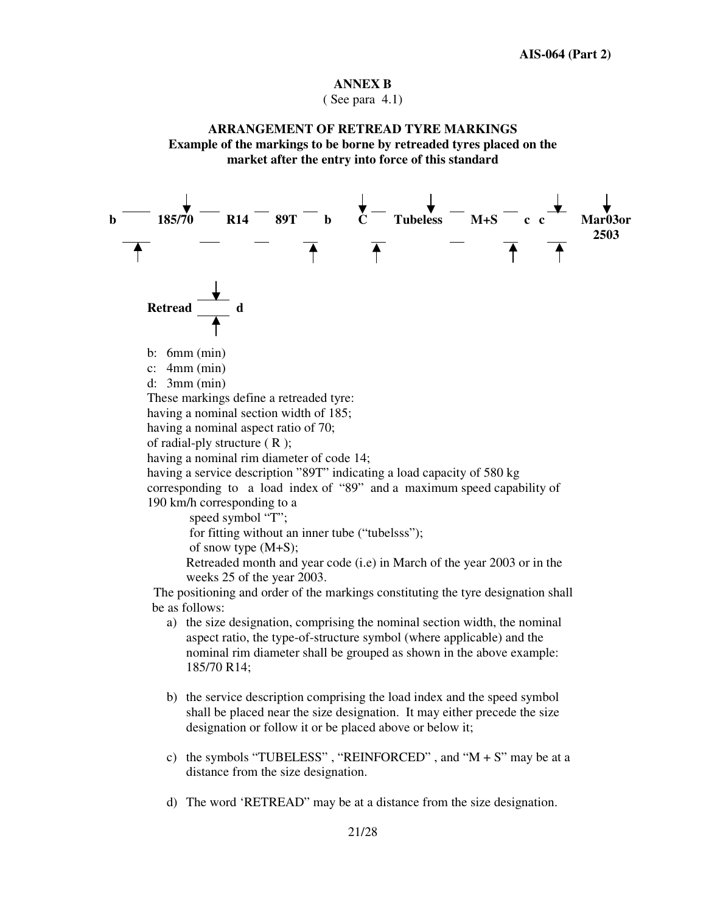#### **ANNEX B**

 $(See$  para 4.1)

#### **ARRANGEMENT OF RETREAD TYRE MARKINGS Example of the markings to be borne by retreaded tyres placed on the market after the entry into force of this standard**



- c) the symbols "TUBELESS", "REINFORCED", and " $M + S$ " may be at a distance from the size designation.
- d) The word 'RETREAD" may be at a distance from the size designation.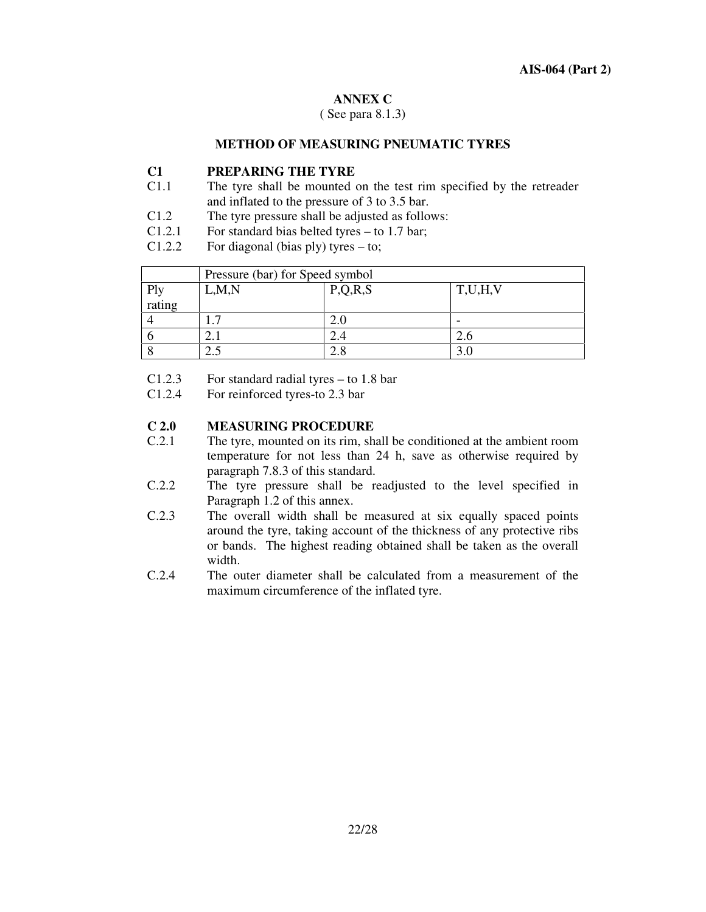#### **ANNEX C**

( See para 8.1.3)

#### **METHOD OF MEASURING PNEUMATIC TYRES**

## **C1 PREPARING THE TYRE**

- C1.1 The tyre shall be mounted on the test rim specified by the retreader and inflated to the pressure of 3 to 3.5 bar.
- C1.2 The tyre pressure shall be adjusted as follows:
- C1.2.1 For standard bias belted tyres to 1.7 bar;
- C1.2.2 For diagonal (bias ply) tyres to;

|                      | Pressure (bar) for Speed symbol |         |         |  |  |
|----------------------|---------------------------------|---------|---------|--|--|
| Ply                  | L, M, N                         | P,Q,R,S | T,U,H,V |  |  |
| $\frac{1}{1}$ rating |                                 |         |         |  |  |
|                      |                                 |         |         |  |  |
|                      |                                 |         |         |  |  |
|                      |                                 |         |         |  |  |

- C1.2.3 For standard radial tyres to 1.8 bar
- C1.2.4 For reinforced tyres-to 2.3 bar

# **C 2.0 MEASURING PROCEDURE**

- The tyre, mounted on its rim, shall be conditioned at the ambient room temperature for not less than 24 h, save as otherwise required by paragraph 7.8.3 of this standard.
- C.2.2 The tyre pressure shall be readjusted to the level specified in Paragraph 1.2 of this annex.
- C.2.3 The overall width shall be measured at six equally spaced points around the tyre, taking account of the thickness of any protective ribs or bands. The highest reading obtained shall be taken as the overall width.
- C.2.4 The outer diameter shall be calculated from a measurement of the maximum circumference of the inflated tyre.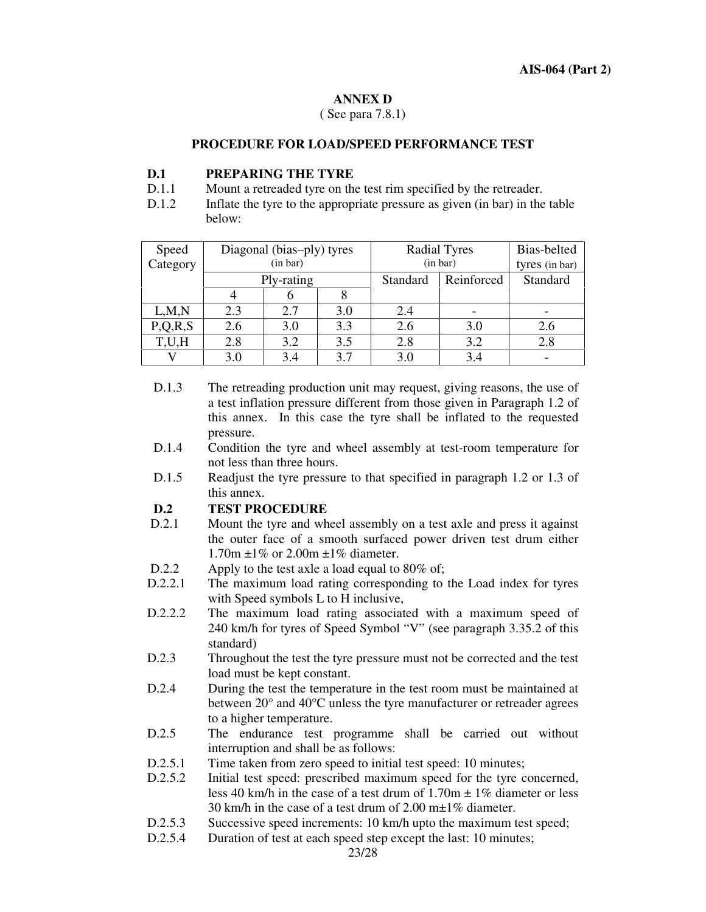#### **ANNEX D**

( See para 7.8.1)

#### **PROCEDURE FOR LOAD/SPEED PERFORMANCE TEST**

#### **D.1 PREPARING THE TYRE**

- D.1.1 Mount a retreaded tyre on the test rim specified by the retreader.
- D.1.2 Inflate the tyre to the appropriate pressure as given (in bar) in the table below:

| Speed    | Diagonal (bias-ply) tyres |     |     | <b>Radial Tyres</b> |            | Bias-belted    |
|----------|---------------------------|-----|-----|---------------------|------------|----------------|
| Category | (in bar)                  |     |     | (in bar)            |            | tyres (in bar) |
|          | Ply-rating                |     |     | Standard            | Reinforced | Standard       |
|          |                           |     |     |                     |            |                |
| L, M, N  | 2.3                       | 2.7 | 3.0 | 2.4                 |            |                |
| P,Q,R,S  | 2.6                       | 3.0 | 3.3 | 2.6                 | 3.0        | 2.6            |
| T,U,H    | 2.8                       | 3.2 | 3.5 | 2.8                 | 3.2        | 2.8            |
|          | 3.0                       | 3.4 | 3.7 | 3.0                 | 3.4        |                |

- D.1.3 The retreading production unit may request, giving reasons, the use of a test inflation pressure different from those given in Paragraph 1.2 of this annex. In this case the tyre shall be inflated to the requested pressure.
- D.1.4 Condition the tyre and wheel assembly at test-room temperature for not less than three hours.
- D.1.5 Readjust the tyre pressure to that specified in paragraph 1.2 or 1.3 of this annex.

## **D.2 TEST PROCEDURE**

- D.2.1 Mount the tyre and wheel assembly on a test axle and press it against the outer face of a smooth surfaced power driven test drum either 1.70m ±1% or 2.00m ±1% diameter.
- D.2.2 Apply to the test axle a load equal to 80% of;
- D.2.2.1 The maximum load rating corresponding to the Load index for tyres with Speed symbols L to H inclusive,
- D.2.2.2 The maximum load rating associated with a maximum speed of 240 km/h for tyres of Speed Symbol "V" (see paragraph 3.35.2 of this standard)
- D.2.3 Throughout the test the tyre pressure must not be corrected and the test load must be kept constant.
- D.2.4 During the test the temperature in the test room must be maintained at between 20° and 40°C unless the tyre manufacturer or retreader agrees to a higher temperature.
- D.2.5 The endurance test programme shall be carried out without interruption and shall be as follows:
- D.2.5.1 Time taken from zero speed to initial test speed: 10 minutes;
- D.2.5.2 Initial test speed: prescribed maximum speed for the tyre concerned, less 40 km/h in the case of a test drum of  $1.70m \pm 1\%$  diameter or less 30 km/h in the case of a test drum of 2.00 m±1% diameter.
- D.2.5.3 Successive speed increments: 10 km/h upto the maximum test speed;
- D.2.5.4 Duration of test at each speed step except the last: 10 minutes;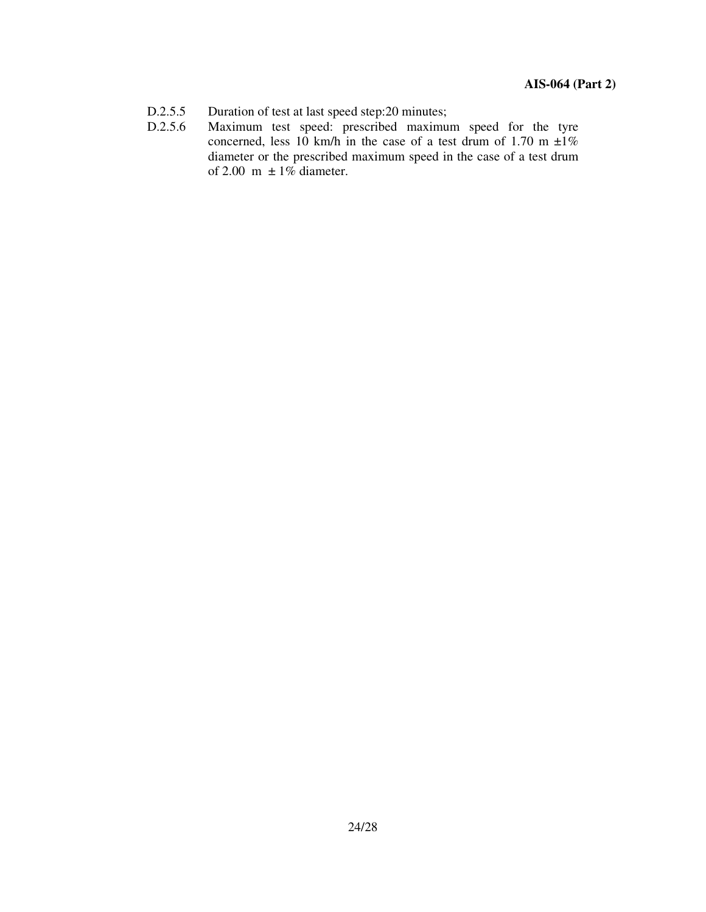- D.2.5.5 Duration of test at last speed step:20 minutes;
- D.2.5.6 Maximum test speed: prescribed maximum speed for the tyre concerned, less 10 km/h in the case of a test drum of 1.70 m  $\pm 1\%$ diameter or the prescribed maximum speed in the case of a test drum of 2.00 m  $\pm 1\%$  diameter.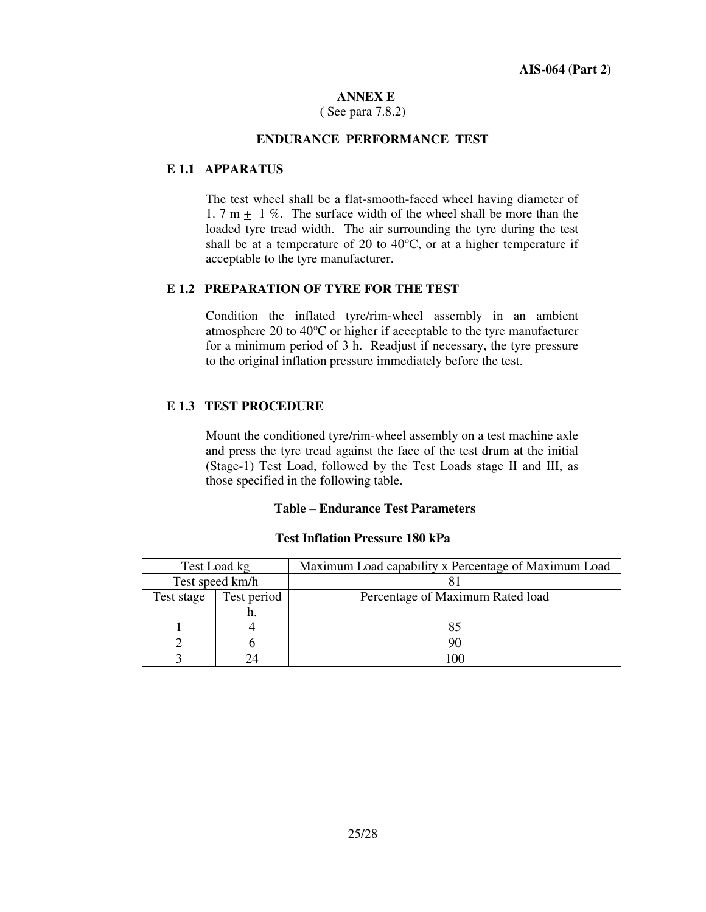#### **ANNEX E**

( See para 7.8.2)

#### **ENDURANCE PERFORMANCE TEST**

#### **E 1.1 APPARATUS**

The test wheel shall be a flat-smooth-faced wheel having diameter of 1. 7 m  $+$  1 %. The surface width of the wheel shall be more than the loaded tyre tread width. The air surrounding the tyre during the test shall be at a temperature of 20 to  $40^{\circ}$ C, or at a higher temperature if acceptable to the tyre manufacturer.

#### **E 1.2 PREPARATION OF TYRE FOR THE TEST**

Condition the inflated tyre/rim-wheel assembly in an ambient atmosphere 20 to 40°C or higher if acceptable to the tyre manufacturer for a minimum period of 3 h. Readjust if necessary, the tyre pressure to the original inflation pressure immediately before the test.

#### **E 1.3 TEST PROCEDURE**

Mount the conditioned tyre/rim-wheel assembly on a test machine axle and press the tyre tread against the face of the test drum at the initial (Stage-1) Test Load, followed by the Test Loads stage II and III, as those specified in the following table.

#### **Table – Endurance Test Parameters**

#### **Test Inflation Pressure 180 kPa**

| Test Load kg    |             | Maximum Load capability x Percentage of Maximum Load |
|-----------------|-------------|------------------------------------------------------|
| Test speed km/h |             |                                                      |
| Test stage      | Test period | Percentage of Maximum Rated load                     |
|                 | 11.         |                                                      |
|                 |             |                                                      |
|                 |             |                                                      |
|                 |             |                                                      |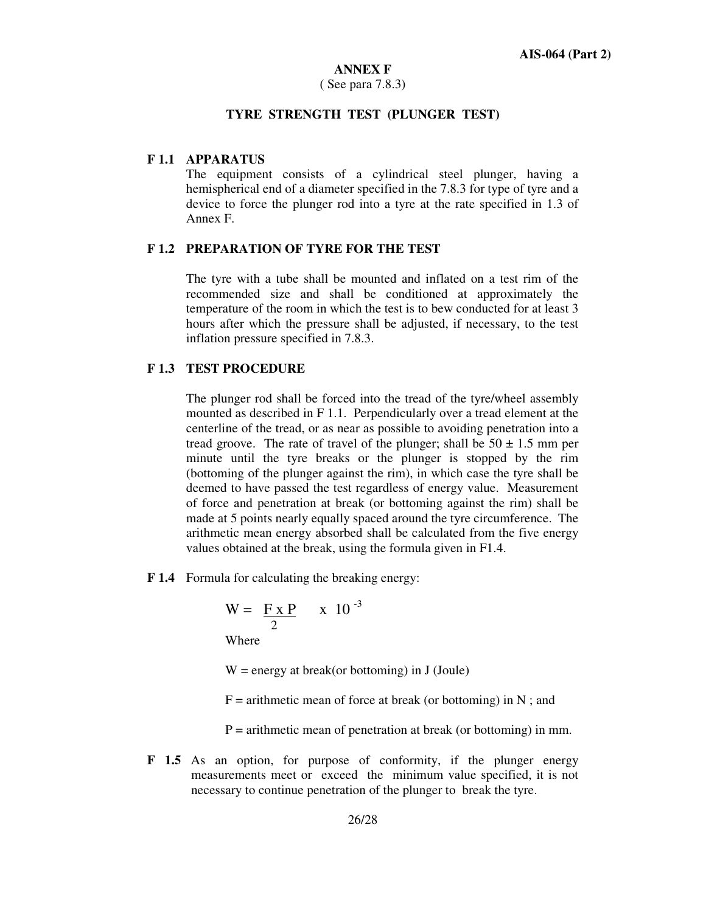#### **ANNEX F**

#### ( See para 7.8.3)

#### **TYRE STRENGTH TEST (PLUNGER TEST)**

#### **F 1.1 APPARATUS**

The equipment consists of a cylindrical steel plunger, having a hemispherical end of a diameter specified in the 7.8.3 for type of tyre and a device to force the plunger rod into a tyre at the rate specified in 1.3 of Annex F.

#### **F 1.2 PREPARATION OF TYRE FOR THE TEST**

The tyre with a tube shall be mounted and inflated on a test rim of the recommended size and shall be conditioned at approximately the temperature of the room in which the test is to bew conducted for at least 3 hours after which the pressure shall be adjusted, if necessary, to the test inflation pressure specified in 7.8.3.

#### **F 1.3 TEST PROCEDURE**

The plunger rod shall be forced into the tread of the tyre/wheel assembly mounted as described in F 1.1. Perpendicularly over a tread element at the centerline of the tread, or as near as possible to avoiding penetration into a tread groove. The rate of travel of the plunger; shall be  $50 \pm 1.5$  mm per minute until the tyre breaks or the plunger is stopped by the rim (bottoming of the plunger against the rim), in which case the tyre shall be deemed to have passed the test regardless of energy value. Measurement of force and penetration at break (or bottoming against the rim) shall be made at 5 points nearly equally spaced around the tyre circumference. The arithmetic mean energy absorbed shall be calculated from the five energy values obtained at the break, using the formula given in F1.4.

**F 1.4** Formula for calculating the breaking energy:

$$
W = \frac{F \times P}{2} \times 10^{-3}
$$

Where

 $W =$  energy at break(or bottoming) in J (Joule)

 $F =$  arithmetic mean of force at break (or bottoming) in N; and

 $P =$  arithmetic mean of penetration at break (or bottoming) in mm.

**F 1.5** As an option, for purpose of conformity, if the plunger energy measurements meet or exceed the minimum value specified, it is not necessary to continue penetration of the plunger to break the tyre.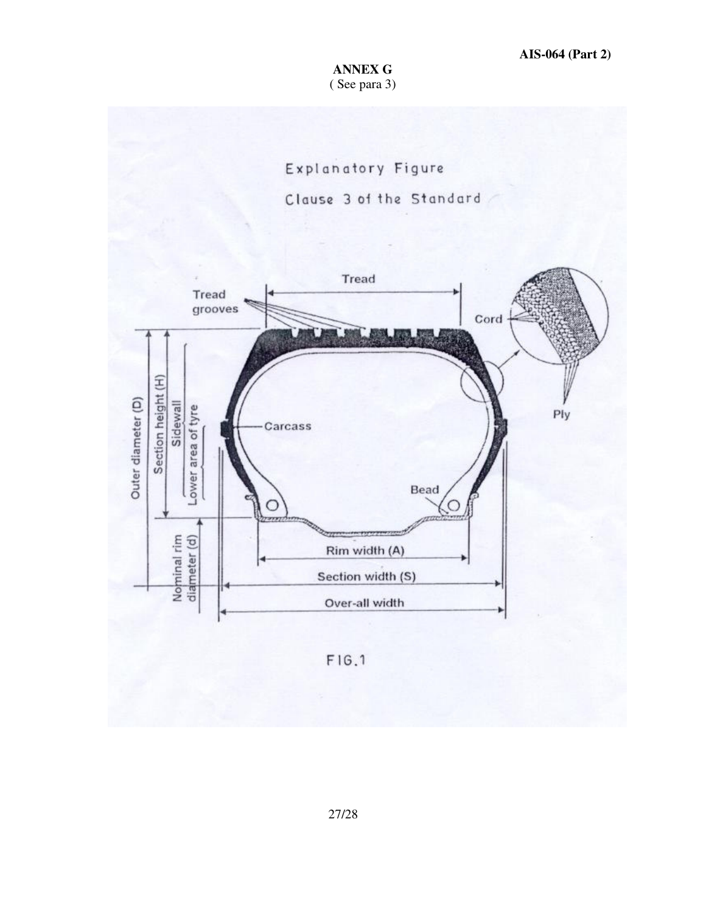## **ANNEX G** ( See para 3)